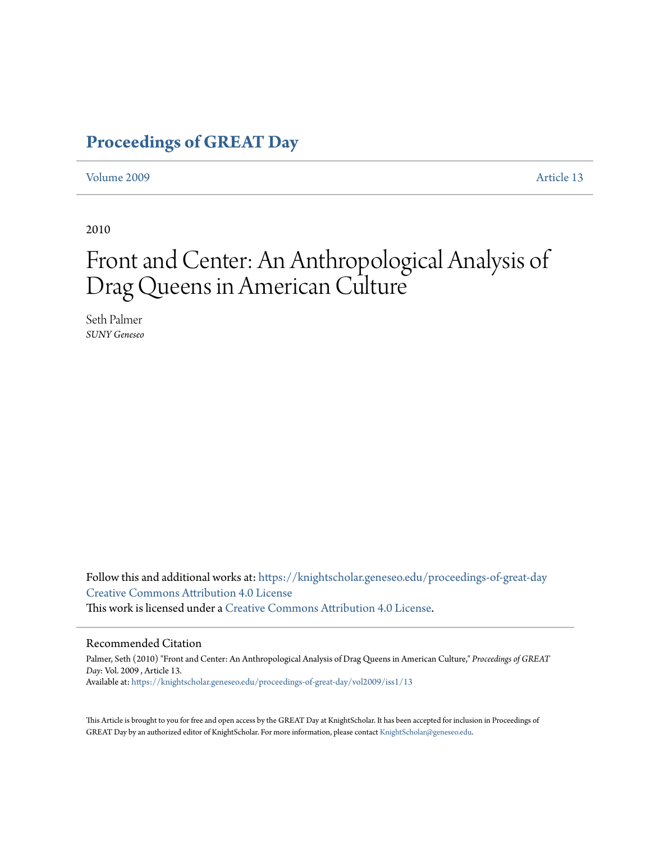# **[Proceedings of GREAT Day](https://knightscholar.geneseo.edu/proceedings-of-great-day?utm_source=knightscholar.geneseo.edu%2Fproceedings-of-great-day%2Fvol2009%2Fiss1%2F13&utm_medium=PDF&utm_campaign=PDFCoverPages)**

# [Volume 2009](https://knightscholar.geneseo.edu/proceedings-of-great-day/vol2009?utm_source=knightscholar.geneseo.edu%2Fproceedings-of-great-day%2Fvol2009%2Fiss1%2F13&utm_medium=PDF&utm_campaign=PDFCoverPages) [Article 13](https://knightscholar.geneseo.edu/proceedings-of-great-day/vol2009/iss1/13?utm_source=knightscholar.geneseo.edu%2Fproceedings-of-great-day%2Fvol2009%2Fiss1%2F13&utm_medium=PDF&utm_campaign=PDFCoverPages)

2010

# Front and Center: An Anthropological Analysis of Drag Queens in American Culture

Seth Palmer *SUNY Geneseo*

Follow this and additional works at: [https://knightscholar.geneseo.edu/proceedings-of-great-day](https://knightscholar.geneseo.edu/proceedings-of-great-day?utm_source=knightscholar.geneseo.edu%2Fproceedings-of-great-day%2Fvol2009%2Fiss1%2F13&utm_medium=PDF&utm_campaign=PDFCoverPages) [Creative Commons Attribution 4.0 License](http://creativecommons.org/licenses/by/4.0/) This work is licensed under a [Creative Commons Attribution 4.0 License.](http://creativecommons.org/licenses/by/4.0/)

### Recommended Citation

Palmer, Seth (2010) "Front and Center: An Anthropological Analysis of Drag Queens in American Culture," *Proceedings of GREAT Day*: Vol. 2009 , Article 13. Available at: [https://knightscholar.geneseo.edu/proceedings-of-great-day/vol2009/iss1/13](https://knightscholar.geneseo.edu/proceedings-of-great-day/vol2009/iss1/13?utm_source=knightscholar.geneseo.edu%2Fproceedings-of-great-day%2Fvol2009%2Fiss1%2F13&utm_medium=PDF&utm_campaign=PDFCoverPages)

This Article is brought to you for free and open access by the GREAT Day at KnightScholar. It has been accepted for inclusion in Proceedings of GREAT Day by an authorized editor of KnightScholar. For more information, please contact [KnightScholar@geneseo.edu.](mailto:KnightScholar@geneseo.edu)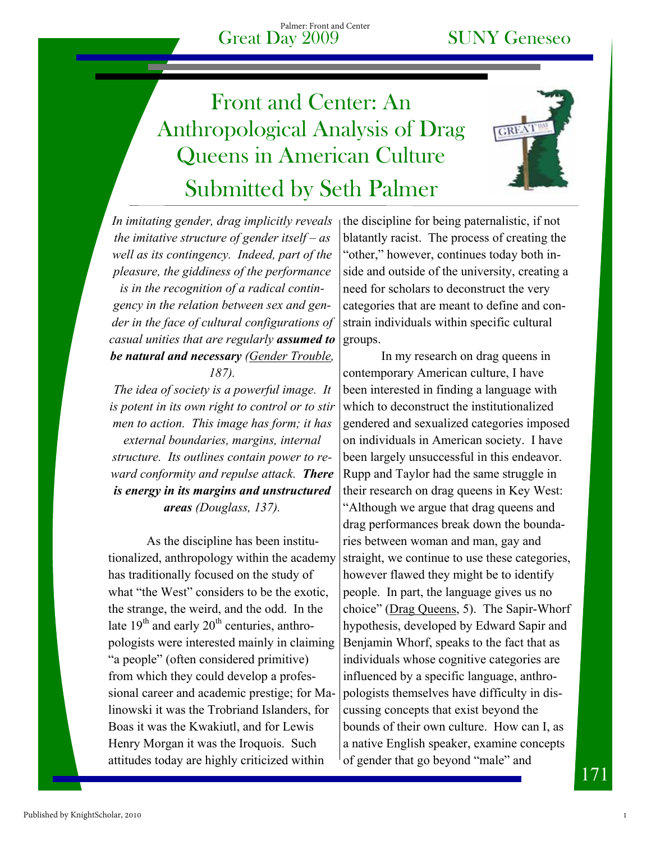# Submitted by Seth Palmer Front and Center: An Anthropological Analysis of Drag Queens in American Culture



*In imitating gender, drag implicitly reveals the imitative structure of gender itself – as well as its contingency. Indeed, part of the pleasure, the giddiness of the performance is in the recognition of a radical contingency in the relation between sex and gender in the face of cultural configurations of casual unities that are regularly assumed to be natural and necessary (Gender Trouble, 187).*

*The idea of society is a powerful image. It is potent in its own right to control or to stir men to action. This image has form; it has external boundaries, margins, internal structure. Its outlines contain power to reward conformity and repulse attack. There is energy in its margins and unstructured areas (Douglass, 137).*

 As the discipline has been institutionalized, anthropology within the academy has traditionally focused on the study of what "the West" considers to be the exotic, the strange, the weird, and the odd. In the late  $19<sup>th</sup>$  and early  $20<sup>th</sup>$  centuries, anthropologists were interested mainly in claiming "a people" (often considered primitive) from which they could develop a professional career and academic prestige; for Malinowski it was the Trobriand Islanders, for Boas it was the Kwakiutl, and for Lewis Henry Morgan it was the Iroquois. Such attitudes today are highly criticized within

the discipline for being paternalistic, if not blatantly racist. The process of creating the "other," however, continues today both inside and outside of the university, creating a need for scholars to deconstruct the very categories that are meant to define and constrain individuals within specific cultural groups.

 In my research on drag queens in contemporary American culture, I have been interested in finding a language with which to deconstruct the institutionalized gendered and sexualized categories imposed on individuals in American society. I have been largely unsuccessful in this endeavor. Rupp and Taylor had the same struggle in their research on drag queens in Key West: "Although we argue that drag queens and drag performances break down the boundaries between woman and man, gay and straight, we continue to use these categories, however flawed they might be to identify people. In part, the language gives us no choice" (Drag Queens, 5). The Sapir-Whorf hypothesis, developed by Edward Sapir and Benjamin Whorf, speaks to the fact that as individuals whose cognitive categories are influenced by a specific language, anthropologists themselves have difficulty in discussing concepts that exist beyond the bounds of their own culture. How can I, as a native English speaker, examine concepts of gender that go beyond "male" and

1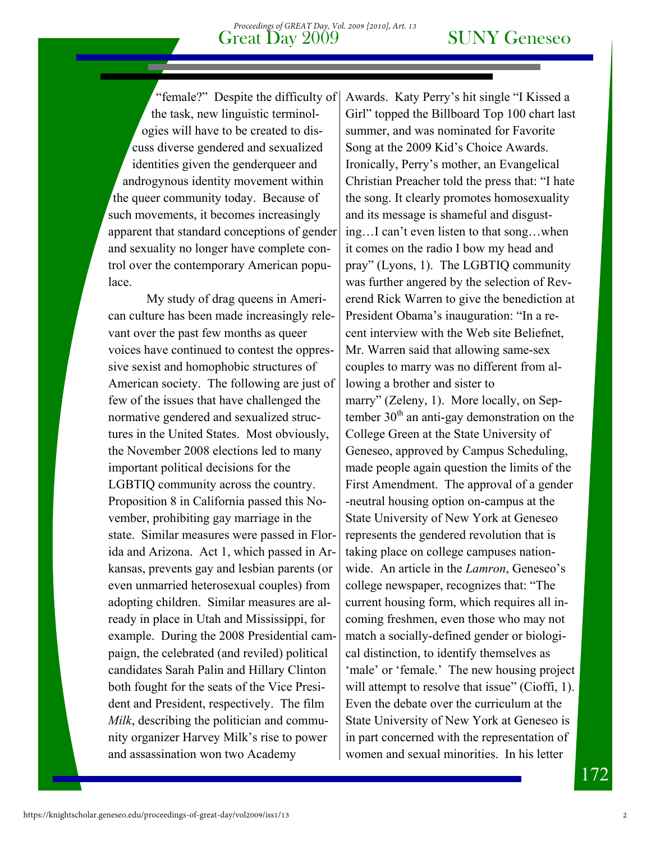"female?" Despite the difficulty of the task, new linguistic terminologies will have to be created to discuss diverse gendered and sexualized identities given the genderqueer and androgynous identity movement within the queer community today. Because of such movements, it becomes increasingly apparent that standard conceptions of gender and sexuality no longer have complete control over the contemporary American populace.

 My study of drag queens in American culture has been made increasingly relevant over the past few months as queer voices have continued to contest the oppressive sexist and homophobic structures of American society. The following are just of few of the issues that have challenged the normative gendered and sexualized structures in the United States. Most obviously, the November 2008 elections led to many important political decisions for the LGBTIQ community across the country. Proposition 8 in California passed this November, prohibiting gay marriage in the state. Similar measures were passed in Florida and Arizona. Act 1, which passed in Arkansas, prevents gay and lesbian parents (or even unmarried heterosexual couples) from adopting children. Similar measures are already in place in Utah and Mississippi, for example. During the 2008 Presidential campaign, the celebrated (and reviled) political candidates Sarah Palin and Hillary Clinton both fought for the seats of the Vice President and President, respectively. The film *Milk*, describing the politician and community organizer Harvey Milk's rise to power and assassination won two Academy

Awards. Katy Perry's hit single "I Kissed a Girl" topped the Billboard Top 100 chart last summer, and was nominated for Favorite Song at the 2009 Kid's Choice Awards. Ironically, Perry's mother, an Evangelical Christian Preacher told the press that: "I hate the song. It clearly promotes homosexuality and its message is shameful and disgusting…I can't even listen to that song…when it comes on the radio I bow my head and pray" (Lyons, 1). The LGBTIQ community was further angered by the selection of Reverend Rick Warren to give the benediction at President Obama's inauguration: "In a recent interview with the Web site Beliefnet, Mr. Warren said that allowing same-sex couples to marry was no different from allowing a brother and sister to marry" (Zeleny, 1). More locally, on September  $30<sup>th</sup>$  an anti-gay demonstration on the College Green at the State University of Geneseo, approved by Campus Scheduling, made people again question the limits of the First Amendment. The approval of a gender -neutral housing option on-campus at the State University of New York at Geneseo represents the gendered revolution that is taking place on college campuses nationwide. An article in the *Lamron*, Geneseo's college newspaper, recognizes that: "The current housing form, which requires all incoming freshmen, even those who may not match a socially-defined gender or biological distinction, to identify themselves as 'male' or 'female.' The new housing project will attempt to resolve that issue" (Cioffi, 1). Even the debate over the curriculum at the State University of New York at Geneseo is in part concerned with the representation of women and sexual minorities. In his letter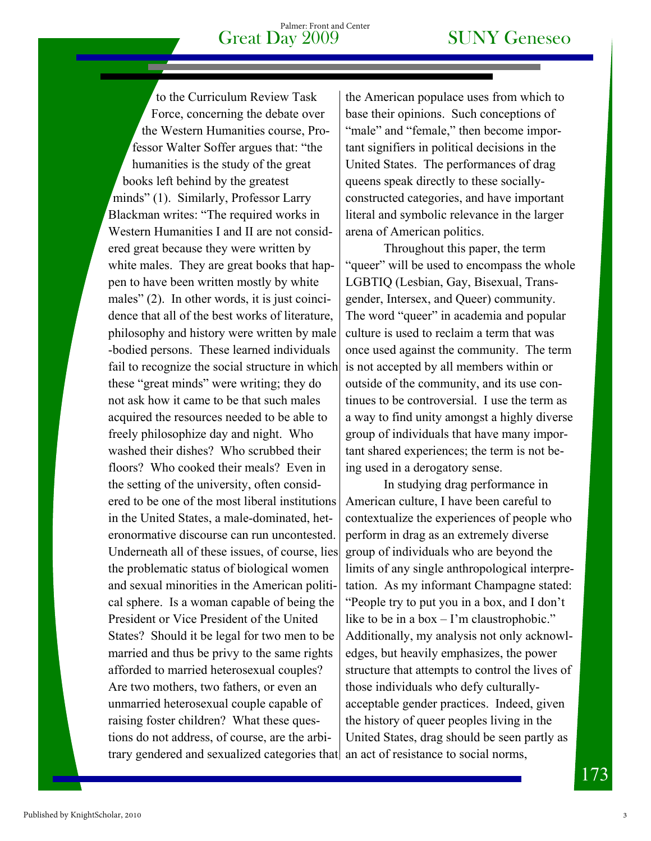to the Curriculum Review Task Force, concerning the debate over the Western Humanities course, Professor Walter Soffer argues that: "the humanities is the study of the great books left behind by the greatest minds" (1). Similarly, Professor Larry Blackman writes: "The required works in Western Humanities I and II are not considered great because they were written by white males. They are great books that happen to have been written mostly by white males" (2). In other words, it is just coincidence that all of the best works of literature, philosophy and history were written by male -bodied persons. These learned individuals fail to recognize the social structure in which these "great minds" were writing; they do not ask how it came to be that such males acquired the resources needed to be able to freely philosophize day and night. Who washed their dishes? Who scrubbed their floors? Who cooked their meals? Even in the setting of the university, often considered to be one of the most liberal institutions in the United States, a male-dominated, heteronormative discourse can run uncontested. Underneath all of these issues, of course, lies the problematic status of biological women and sexual minorities in the American political sphere. Is a woman capable of being the President or Vice President of the United States? Should it be legal for two men to be married and thus be privy to the same rights afforded to married heterosexual couples? Are two mothers, two fathers, or even an unmarried heterosexual couple capable of raising foster children? What these questions do not address, of course, are the arbitrary gendered and sexualized categories that

the American populace uses from which to base their opinions. Such conceptions of "male" and "female," then become important signifiers in political decisions in the United States. The performances of drag queens speak directly to these sociallyconstructed categories, and have important literal and symbolic relevance in the larger arena of American politics.

Throughout this paper, the term "queer" will be used to encompass the whole LGBTIQ (Lesbian, Gay, Bisexual, Transgender, Intersex, and Queer) community. The word "queer" in academia and popular culture is used to reclaim a term that was once used against the community. The term is not accepted by all members within or outside of the community, and its use continues to be controversial. I use the term as a way to find unity amongst a highly diverse group of individuals that have many important shared experiences; the term is not being used in a derogatory sense.

In studying drag performance in American culture, I have been careful to contextualize the experiences of people who perform in drag as an extremely diverse group of individuals who are beyond the limits of any single anthropological interpretation. As my informant Champagne stated: "People try to put you in a box, and I don't like to be in a box – I'm claustrophobic." Additionally, my analysis not only acknowledges, but heavily emphasizes, the power structure that attempts to control the lives of those individuals who defy culturallyacceptable gender practices. Indeed, given the history of queer peoples living in the United States, drag should be seen partly as an act of resistance to social norms,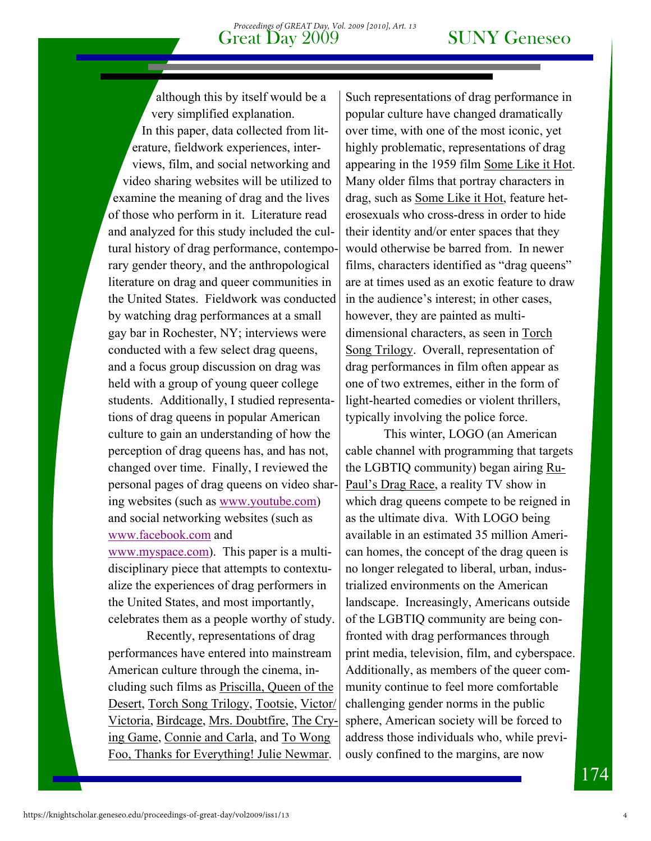although this by itself would be a very simplified explanation. In this paper, data collected from literature, fieldwork experiences, interviews, film, and social networking and video sharing websites will be utilized to examine the meaning of drag and the lives of those who perform in it. Literature read and analyzed for this study included the cultural history of drag performance, contemporary gender theory, and the anthropological literature on drag and queer communities in the United States. Fieldwork was conducted by watching drag performances at a small gay bar in Rochester, NY; interviews were conducted with a few select drag queens, and a focus group discussion on drag was held with a group of young queer college students. Additionally, I studied representations of drag queens in popular American culture to gain an understanding of how the perception of drag queens has, and has not, changed over time. Finally, I reviewed the personal pages of drag queens on video sharing websites (such as www.youtube.com) and social networking websites (such as www.facebook.com and

www.myspace.com). This paper is a multidisciplinary piece that attempts to contextualize the experiences of drag performers in the United States, and most importantly, celebrates them as a people worthy of study.

Recently, representations of drag performances have entered into mainstream American culture through the cinema, including such films as Priscilla, Queen of the Desert, Torch Song Trilogy, Tootsie, Victor/ Victoria, Birdcage, Mrs. Doubtfire, The Crying Game, Connie and Carla, and To Wong Foo, Thanks for Everything! Julie Newmar.

Such representations of drag performance in popular culture have changed dramatically over time, with one of the most iconic, yet highly problematic, representations of drag appearing in the 1959 film Some Like it Hot. Many older films that portray characters in drag, such as Some Like it Hot, feature heterosexuals who cross-dress in order to hide their identity and/or enter spaces that they would otherwise be barred from. In newer films, characters identified as "drag queens" are at times used as an exotic feature to draw in the audience's interest; in other cases, however, they are painted as multidimensional characters, as seen in Torch Song Trilogy. Overall, representation of drag performances in film often appear as one of two extremes, either in the form of light-hearted comedies or violent thrillers, typically involving the police force.

This winter, LOGO (an American cable channel with programming that targets the LGBTIQ community) began airing Ru-Paul's Drag Race, a reality TV show in which drag queens compete to be reigned in as the ultimate diva. With LOGO being available in an estimated 35 million American homes, the concept of the drag queen is no longer relegated to liberal, urban, industrialized environments on the American landscape. Increasingly, Americans outside of the LGBTIQ community are being confronted with drag performances through print media, television, film, and cyberspace. Additionally, as members of the queer community continue to feel more comfortable challenging gender norms in the public sphere, American society will be forced to address those individuals who, while previously confined to the margins, are now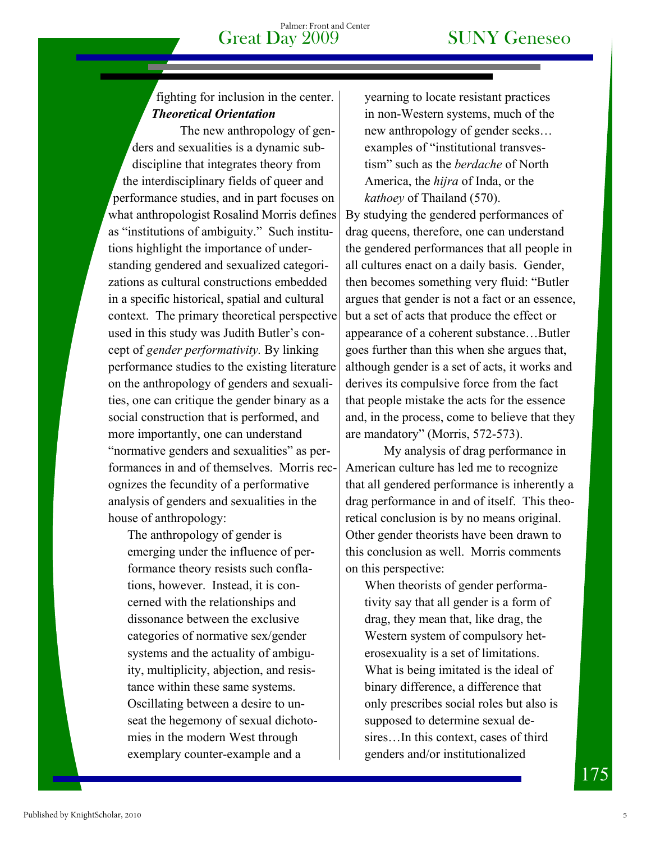# fighting for inclusion in the center. *Theoretical Orientation*

 The new anthropology of genders and sexualities is a dynamic subdiscipline that integrates theory from the interdisciplinary fields of queer and performance studies, and in part focuses on what anthropologist Rosalind Morris defines as "institutions of ambiguity." Such institutions highlight the importance of understanding gendered and sexualized categorizations as cultural constructions embedded in a specific historical, spatial and cultural context. The primary theoretical perspective used in this study was Judith Butler's concept of *gender performativity.* By linking performance studies to the existing literature on the anthropology of genders and sexualities, one can critique the gender binary as a social construction that is performed, and more importantly, one can understand "normative genders and sexualities" as performances in and of themselves. Morris recognizes the fecundity of a performative analysis of genders and sexualities in the house of anthropology:

The anthropology of gender is emerging under the influence of performance theory resists such conflations, however. Instead, it is concerned with the relationships and dissonance between the exclusive categories of normative sex/gender systems and the actuality of ambiguity, multiplicity, abjection, and resistance within these same systems. Oscillating between a desire to unseat the hegemony of sexual dichotomies in the modern West through exemplary counter-example and a

yearning to locate resistant practices in non-Western systems, much of the new anthropology of gender seeks… examples of "institutional transvestism" such as the *berdache* of North America, the *hijra* of Inda, or the *kathoey* of Thailand (570). By studying the gendered performances of drag queens, therefore, one can understand the gendered performances that all people in all cultures enact on a daily basis. Gender, then becomes something very fluid: "Butler argues that gender is not a fact or an essence, but a set of acts that produce the effect or appearance of a coherent substance…Butler goes further than this when she argues that, although gender is a set of acts, it works and derives its compulsive force from the fact that people mistake the acts for the essence and, in the process, come to believe that they are mandatory" (Morris, 572-573).

My analysis of drag performance in American culture has led me to recognize that all gendered performance is inherently a drag performance in and of itself. This theoretical conclusion is by no means original. Other gender theorists have been drawn to this conclusion as well. Morris comments on this perspective:

When theorists of gender performativity say that all gender is a form of drag, they mean that, like drag, the Western system of compulsory heterosexuality is a set of limitations. What is being imitated is the ideal of binary difference, a difference that only prescribes social roles but also is supposed to determine sexual desires…In this context, cases of third genders and/or institutionalized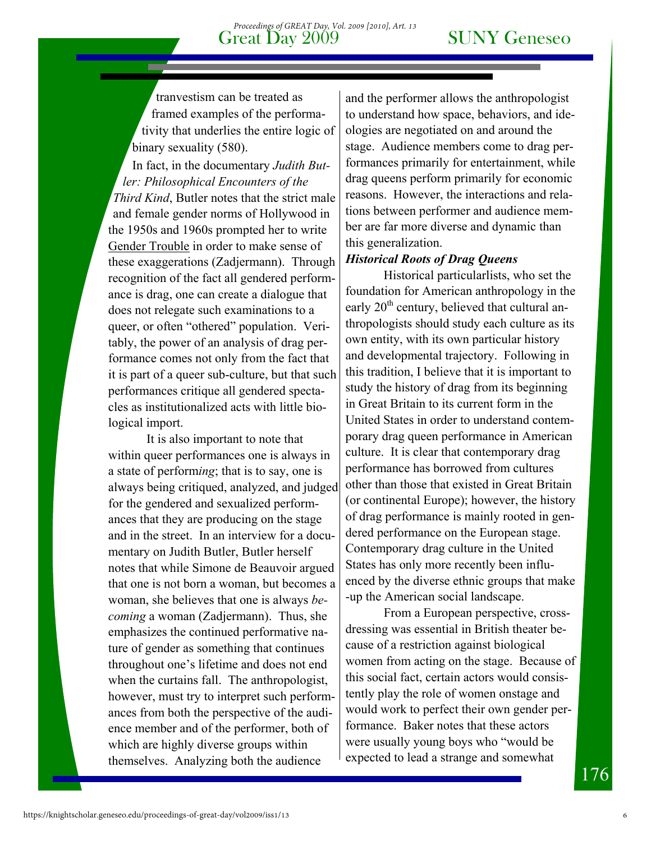tranvestism can be treated as framed examples of the performativity that underlies the entire logic of binary sexuality (580).

In fact, in the documentary *Judith Butler: Philosophical Encounters of the Third Kind*, Butler notes that the strict male and female gender norms of Hollywood in the 1950s and 1960s prompted her to write Gender Trouble in order to make sense of these exaggerations (Zadjermann). Through recognition of the fact all gendered performance is drag, one can create a dialogue that does not relegate such examinations to a queer, or often "othered" population. Veritably, the power of an analysis of drag performance comes not only from the fact that it is part of a queer sub-culture, but that such performances critique all gendered spectacles as institutionalized acts with little biological import.

It is also important to note that within queer performances one is always in a state of perform*ing*; that is to say, one is always being critiqued, analyzed, and judged for the gendered and sexualized performances that they are producing on the stage and in the street. In an interview for a documentary on Judith Butler, Butler herself notes that while Simone de Beauvoir argued that one is not born a woman, but becomes a woman, she believes that one is always *becoming* a woman (Zadjermann). Thus, she emphasizes the continued performative nature of gender as something that continues throughout one's lifetime and does not end when the curtains fall. The anthropologist, however, must try to interpret such performances from both the perspective of the audience member and of the performer, both of which are highly diverse groups within themselves. Analyzing both the audience

and the performer allows the anthropologist to understand how space, behaviors, and ideologies are negotiated on and around the stage. Audience members come to drag performances primarily for entertainment, while drag queens perform primarily for economic reasons. However, the interactions and relations between performer and audience member are far more diverse and dynamic than this generalization.

# *Historical Roots of Drag Queens*

Historical particularlists, who set the foundation for American anthropology in the early  $20<sup>th</sup>$  century, believed that cultural anthropologists should study each culture as its own entity, with its own particular history and developmental trajectory. Following in this tradition, I believe that it is important to study the history of drag from its beginning in Great Britain to its current form in the United States in order to understand contemporary drag queen performance in American culture. It is clear that contemporary drag performance has borrowed from cultures other than those that existed in Great Britain (or continental Europe); however, the history of drag performance is mainly rooted in gendered performance on the European stage. Contemporary drag culture in the United States has only more recently been influenced by the diverse ethnic groups that make -up the American social landscape.

From a European perspective, crossdressing was essential in British theater because of a restriction against biological women from acting on the stage. Because of this social fact, certain actors would consistently play the role of women onstage and would work to perfect their own gender performance. Baker notes that these actors were usually young boys who "would be expected to lead a strange and somewhat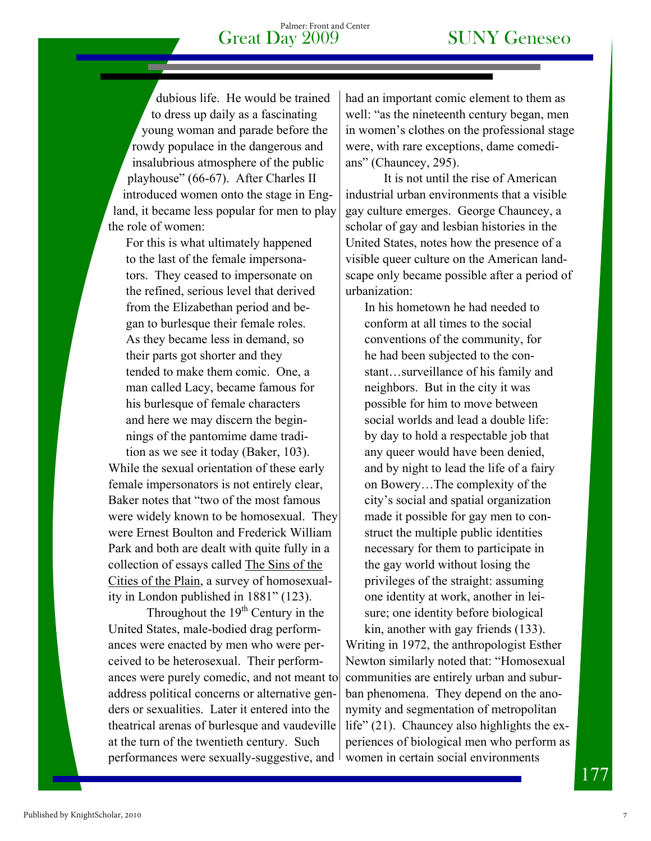dubious life. He would be trained to dress up daily as a fascinating young woman and parade before the rowdy populace in the dangerous and insalubrious atmosphere of the public playhouse" (66-67). After Charles II introduced women onto the stage in England, it became less popular for men to play the role of women:

For this is what ultimately happened to the last of the female impersonators. They ceased to impersonate on the refined, serious level that derived from the Elizabethan period and began to burlesque their female roles. As they became less in demand, so their parts got shorter and they tended to make them comic. One, a man called Lacy, became famous for his burlesque of female characters and here we may discern the beginnings of the pantomime dame tradition as we see it today (Baker, 103).

While the sexual orientation of these early female impersonators is not entirely clear, Baker notes that "two of the most famous were widely known to be homosexual. They were Ernest Boulton and Frederick William Park and both are dealt with quite fully in a collection of essays called The Sins of the Cities of the Plain, a survey of homosexuality in London published in 1881" (123).

Throughout the  $19<sup>th</sup>$  Century in the United States, male-bodied drag performances were enacted by men who were perceived to be heterosexual. Their performances were purely comedic, and not meant to address political concerns or alternative genders or sexualities. Later it entered into the theatrical arenas of burlesque and vaudeville at the turn of the twentieth century. Such performances were sexually-suggestive, and

had an important comic element to them as well: "as the nineteenth century began, men in women's clothes on the professional stage were, with rare exceptions, dame comedians" (Chauncey, 295).

It is not until the rise of American industrial urban environments that a visible gay culture emerges. George Chauncey, a scholar of gay and lesbian histories in the United States, notes how the presence of a visible queer culture on the American landscape only became possible after a period of urbanization:

In his hometown he had needed to conform at all times to the social conventions of the community, for he had been subjected to the constant…surveillance of his family and neighbors. But in the city it was possible for him to move between social worlds and lead a double life: by day to hold a respectable job that any queer would have been denied, and by night to lead the life of a fairy on Bowery…The complexity of the city's social and spatial organization made it possible for gay men to construct the multiple public identities necessary for them to participate in the gay world without losing the privileges of the straight: assuming one identity at work, another in leisure; one identity before biological

kin, another with gay friends (133). Writing in 1972, the anthropologist Esther Newton similarly noted that: "Homosexual communities are entirely urban and suburban phenomena. They depend on the anonymity and segmentation of metropolitan life" (21). Chauncey also highlights the experiences of biological men who perform as women in certain social environments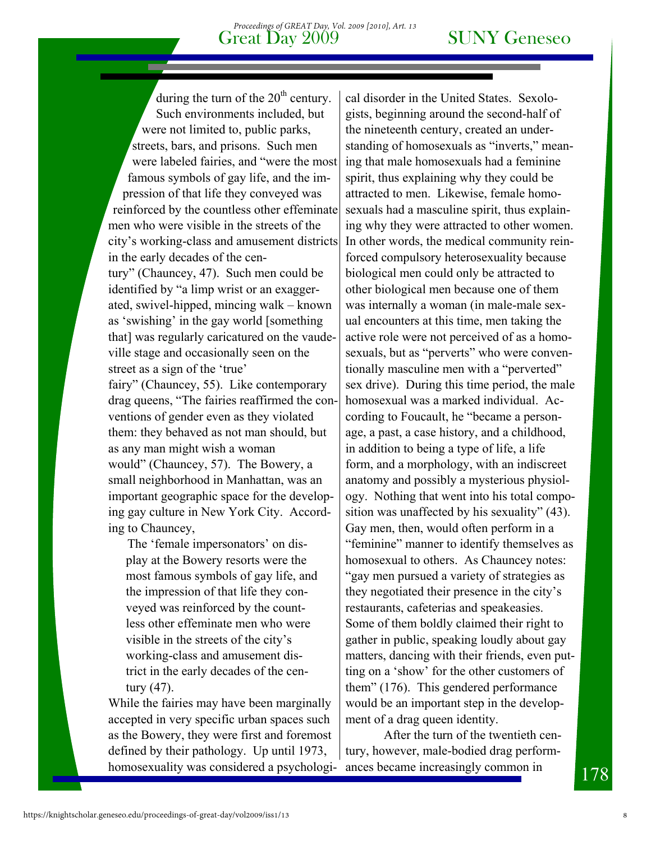during the turn of the  $20<sup>th</sup>$  century. Such environments included, but were not limited to, public parks, streets, bars, and prisons. Such men were labeled fairies, and "were the most famous symbols of gay life, and the impression of that life they conveyed was reinforced by the countless other effeminate men who were visible in the streets of the city's working-class and amusement districts in the early decades of the century" (Chauncey, 47). Such men could be identified by "a limp wrist or an exaggerated, swivel-hipped, mincing walk – known as 'swishing' in the gay world [something that] was regularly caricatured on the vaudeville stage and occasionally seen on the street as a sign of the 'true' fairy" (Chauncey, 55). Like contemporary drag queens, "The fairies reaffirmed the conventions of gender even as they violated them: they behaved as not man should, but as any man might wish a woman would" (Chauncey, 57). The Bowery, a small neighborhood in Manhattan, was an important geographic space for the developing gay culture in New York City. According to Chauncey,

The 'female impersonators' on display at the Bowery resorts were the most famous symbols of gay life, and the impression of that life they conveyed was reinforced by the countless other effeminate men who were visible in the streets of the city's working-class and amusement district in the early decades of the century (47).

While the fairies may have been marginally accepted in very specific urban spaces such as the Bowery, they were first and foremost defined by their pathology. Up until 1973, homosexuality was considered a psychological disorder in the United States. Sexologists, beginning around the second-half of the nineteenth century, created an understanding of homosexuals as "inverts," meaning that male homosexuals had a feminine spirit, thus explaining why they could be attracted to men. Likewise, female homosexuals had a masculine spirit, thus explaining why they were attracted to other women. In other words, the medical community reinforced compulsory heterosexuality because biological men could only be attracted to other biological men because one of them was internally a woman (in male-male sexual encounters at this time, men taking the active role were not perceived of as a homosexuals, but as "perverts" who were conventionally masculine men with a "perverted" sex drive). During this time period, the male homosexual was a marked individual. According to Foucault, he "became a personage, a past, a case history, and a childhood, in addition to being a type of life, a life form, and a morphology, with an indiscreet anatomy and possibly a mysterious physiology. Nothing that went into his total composition was unaffected by his sexuality" (43). Gay men, then, would often perform in a "feminine" manner to identify themselves as homosexual to others. As Chauncey notes: "gay men pursued a variety of strategies as they negotiated their presence in the city's restaurants, cafeterias and speakeasies. Some of them boldly claimed their right to gather in public, speaking loudly about gay matters, dancing with their friends, even putting on a 'show' for the other customers of them" (176). This gendered performance would be an important step in the development of a drag queen identity.

After the turn of the twentieth century, however, male-bodied drag performances became increasingly common in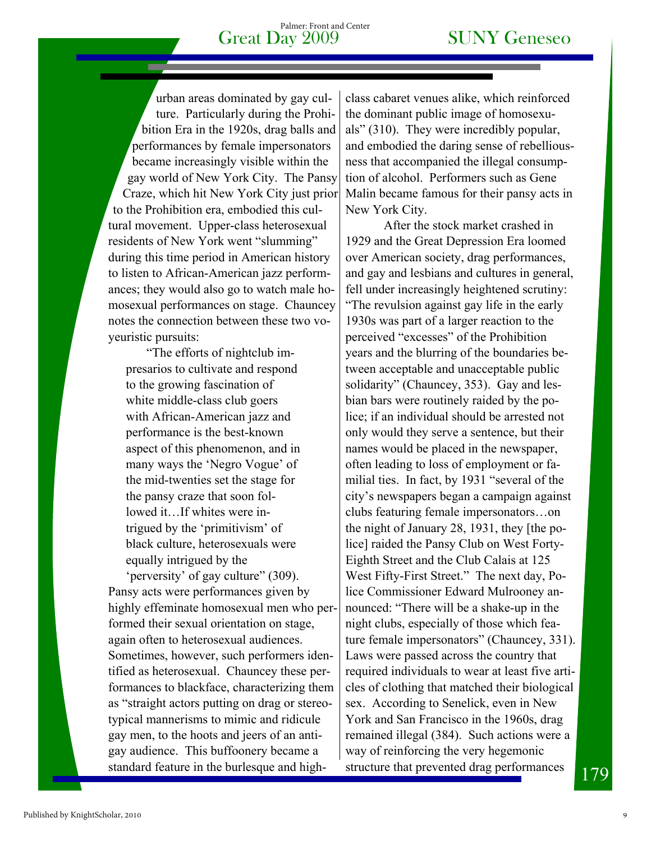urban areas dominated by gay culture. Particularly during the Prohibition Era in the 1920s, drag balls and performances by female impersonators became increasingly visible within the gay world of New York City. The Pansy Craze, which hit New York City just prior to the Prohibition era, embodied this cultural movement. Upper-class heterosexual residents of New York went "slumming" during this time period in American history to listen to African-American jazz performances; they would also go to watch male homosexual performances on stage. Chauncey notes the connection between these two voyeuristic pursuits:

"The efforts of nightclub impresarios to cultivate and respond to the growing fascination of white middle-class club goers with African-American jazz and performance is the best-known aspect of this phenomenon, and in many ways the 'Negro Vogue' of the mid-twenties set the stage for the pansy craze that soon followed it…If whites were intrigued by the 'primitivism' of black culture, heterosexuals were equally intrigued by the

'perversity' of gay culture" (309). Pansy acts were performances given by highly effeminate homosexual men who performed their sexual orientation on stage, again often to heterosexual audiences. Sometimes, however, such performers identified as heterosexual. Chauncey these performances to blackface, characterizing them as "straight actors putting on drag or stereotypical mannerisms to mimic and ridicule gay men, to the hoots and jeers of an antigay audience. This buffoonery became a standard feature in the burlesque and highclass cabaret venues alike, which reinforced the dominant public image of homosexuals" (310). They were incredibly popular, and embodied the daring sense of rebelliousness that accompanied the illegal consumption of alcohol. Performers such as Gene Malin became famous for their pansy acts in New York City.

After the stock market crashed in 1929 and the Great Depression Era loomed over American society, drag performances, and gay and lesbians and cultures in general, fell under increasingly heightened scrutiny: "The revulsion against gay life in the early 1930s was part of a larger reaction to the perceived "excesses" of the Prohibition years and the blurring of the boundaries between acceptable and unacceptable public solidarity" (Chauncey, 353). Gay and lesbian bars were routinely raided by the police; if an individual should be arrested not only would they serve a sentence, but their names would be placed in the newspaper, often leading to loss of employment or familial ties. In fact, by 1931 "several of the city's newspapers began a campaign against clubs featuring female impersonators…on the night of January 28, 1931, they [the police] raided the Pansy Club on West Forty-Eighth Street and the Club Calais at 125 West Fifty-First Street." The next day, Police Commissioner Edward Mulrooney announced: "There will be a shake-up in the night clubs, especially of those which feature female impersonators" (Chauncey, 331). Laws were passed across the country that required individuals to wear at least five articles of clothing that matched their biological sex. According to Senelick, even in New York and San Francisco in the 1960s, drag remained illegal (384). Such actions were a way of reinforcing the very hegemonic structure that prevented drag performances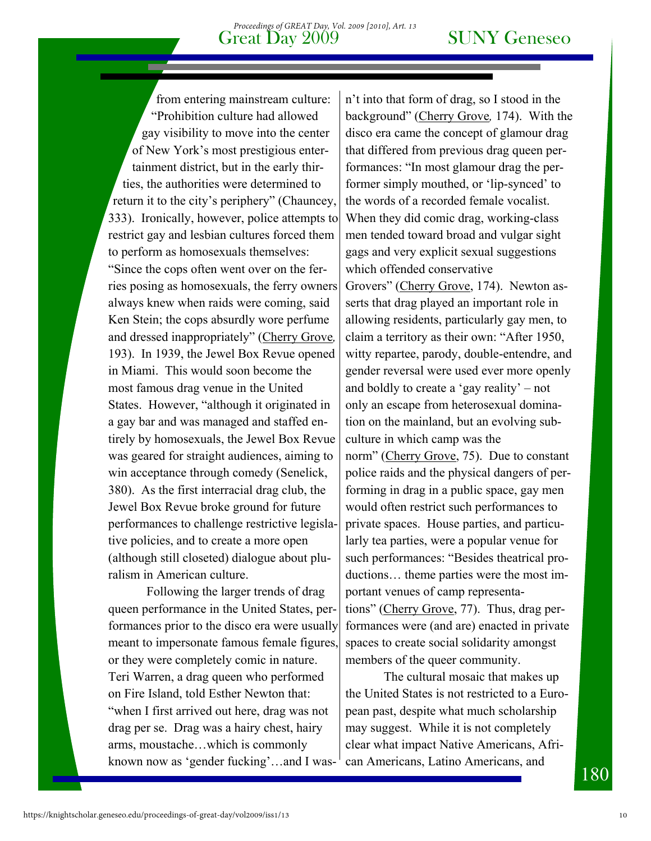from entering mainstream culture: "Prohibition culture had allowed gay visibility to move into the center of New York's most prestigious entertainment district, but in the early thirties, the authorities were determined to return it to the city's periphery" (Chauncey, 333). Ironically, however, police attempts to restrict gay and lesbian cultures forced them to perform as homosexuals themselves: "Since the cops often went over on the ferries posing as homosexuals, the ferry owners always knew when raids were coming, said Ken Stein; the cops absurdly wore perfume and dressed inappropriately" (Cherry Grove*,*  193). In 1939, the Jewel Box Revue opened in Miami. This would soon become the most famous drag venue in the United States. However, "although it originated in a gay bar and was managed and staffed entirely by homosexuals, the Jewel Box Revue was geared for straight audiences, aiming to win acceptance through comedy (Senelick, 380). As the first interracial drag club, the Jewel Box Revue broke ground for future performances to challenge restrictive legislative policies, and to create a more open (although still closeted) dialogue about pluralism in American culture.

Following the larger trends of drag queen performance in the United States, performances prior to the disco era were usually meant to impersonate famous female figures, or they were completely comic in nature. Teri Warren, a drag queen who performed on Fire Island, told Esther Newton that: "when I first arrived out here, drag was not drag per se. Drag was a hairy chest, hairy arms, moustache…which is commonly known now as 'gender fucking'…and I was-

n't into that form of drag, so I stood in the background" (Cherry Grove*,* 174). With the disco era came the concept of glamour drag that differed from previous drag queen performances: "In most glamour drag the performer simply mouthed, or 'lip-synced' to the words of a recorded female vocalist. When they did comic drag, working-class men tended toward broad and vulgar sight gags and very explicit sexual suggestions which offended conservative Grovers" (Cherry Grove, 174). Newton asserts that drag played an important role in allowing residents, particularly gay men, to claim a territory as their own: "After 1950, witty repartee, parody, double-entendre, and gender reversal were used ever more openly and boldly to create a 'gay reality' – not only an escape from heterosexual domination on the mainland, but an evolving subculture in which camp was the norm" (Cherry Grove, 75). Due to constant police raids and the physical dangers of performing in drag in a public space, gay men would often restrict such performances to private spaces. House parties, and particularly tea parties, were a popular venue for such performances: "Besides theatrical productions… theme parties were the most important venues of camp representations" (Cherry Grove, 77). Thus, drag performances were (and are) enacted in private spaces to create social solidarity amongst members of the queer community.

The cultural mosaic that makes up the United States is not restricted to a European past, despite what much scholarship may suggest. While it is not completely clear what impact Native Americans, African Americans, Latino Americans, and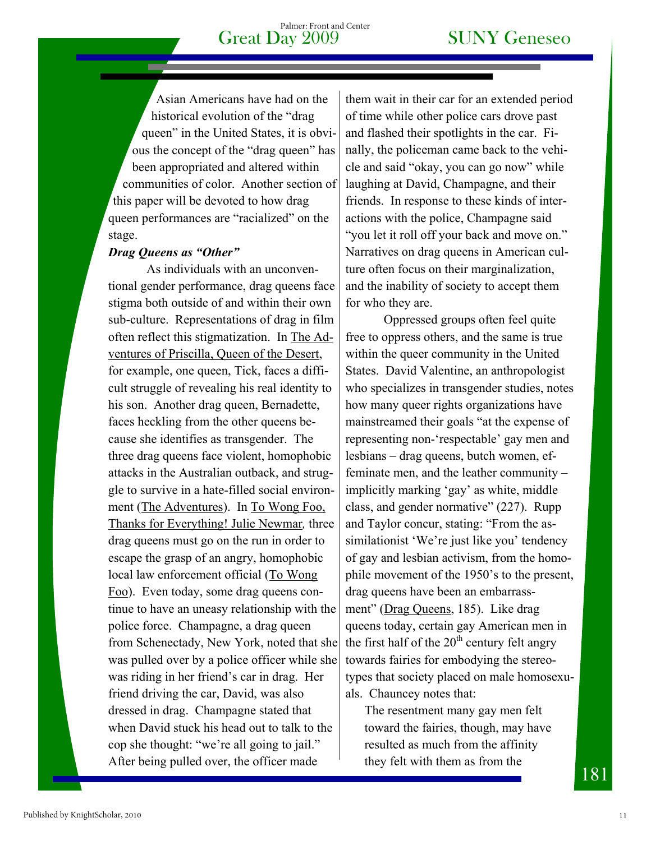Asian Americans have had on the historical evolution of the "drag queen" in the United States, it is obvious the concept of the "drag queen" has been appropriated and altered within communities of color. Another section of this paper will be devoted to how drag queen performances are "racialized" on the stage.

# *Drag Queens as "Other"*

As individuals with an unconventional gender performance, drag queens face stigma both outside of and within their own sub-culture. Representations of drag in film often reflect this stigmatization. In The Adventures of Priscilla, Queen of the Desert, for example, one queen, Tick, faces a difficult struggle of revealing his real identity to his son. Another drag queen, Bernadette, faces heckling from the other queens because she identifies as transgender. The three drag queens face violent, homophobic attacks in the Australian outback, and struggle to survive in a hate-filled social environment (The Adventures). In To Wong Foo, Thanks for Everything! Julie Newmar*,* three drag queens must go on the run in order to escape the grasp of an angry, homophobic local law enforcement official (To Wong Foo). Even today, some drag queens continue to have an uneasy relationship with the police force. Champagne, a drag queen from Schenectady, New York, noted that she was pulled over by a police officer while she was riding in her friend's car in drag. Her friend driving the car, David, was also dressed in drag. Champagne stated that when David stuck his head out to talk to the cop she thought: "we're all going to jail." After being pulled over, the officer made

them wait in their car for an extended period of time while other police cars drove past and flashed their spotlights in the car. Finally, the policeman came back to the vehicle and said "okay, you can go now" while laughing at David, Champagne, and their friends. In response to these kinds of interactions with the police, Champagne said "you let it roll off your back and move on." Narratives on drag queens in American culture often focus on their marginalization, and the inability of society to accept them for who they are.

Oppressed groups often feel quite free to oppress others, and the same is true within the queer community in the United States. David Valentine, an anthropologist who specializes in transgender studies, notes how many queer rights organizations have mainstreamed their goals "at the expense of representing non-'respectable' gay men and lesbians – drag queens, butch women, effeminate men, and the leather community – implicitly marking 'gay' as white, middle class, and gender normative" (227). Rupp and Taylor concur, stating: "From the assimilationist 'We're just like you' tendency of gay and lesbian activism, from the homophile movement of the 1950's to the present, drag queens have been an embarrassment" (Drag Queens, 185). Like drag queens today, certain gay American men in the first half of the  $20<sup>th</sup>$  century felt angry towards fairies for embodying the stereotypes that society placed on male homosexuals. Chauncey notes that:

The resentment many gay men felt toward the fairies, though, may have resulted as much from the affinity they felt with them as from the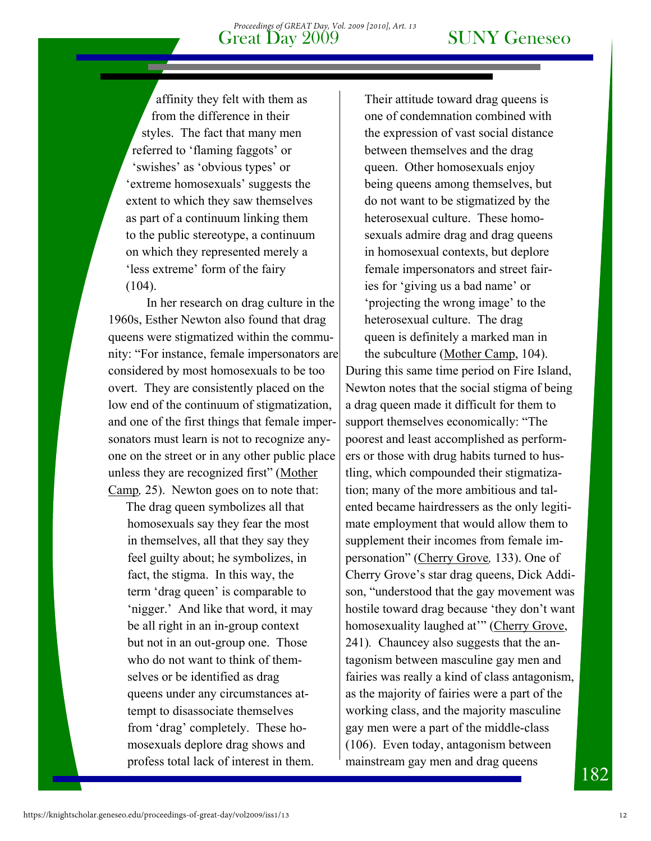affinity they felt with them as from the difference in their styles. The fact that many men referred to 'flaming faggots' or 'swishes' as 'obvious types' or 'extreme homosexuals' suggests the extent to which they saw themselves as part of a continuum linking them to the public stereotype, a continuum on which they represented merely a 'less extreme' form of the fairy  $(104)$ .

In her research on drag culture in the 1960s, Esther Newton also found that drag queens were stigmatized within the community: "For instance, female impersonators are considered by most homosexuals to be too overt. They are consistently placed on the low end of the continuum of stigmatization, and one of the first things that female impersonators must learn is not to recognize anyone on the street or in any other public place unless they are recognized first" (Mother Camp*,* 25). Newton goes on to note that:

The drag queen symbolizes all that homosexuals say they fear the most in themselves, all that they say they feel guilty about; he symbolizes, in fact, the stigma. In this way, the term 'drag queen' is comparable to 'nigger.' And like that word, it may be all right in an in-group context but not in an out-group one. Those who do not want to think of themselves or be identified as drag queens under any circumstances attempt to disassociate themselves from 'drag' completely. These homosexuals deplore drag shows and profess total lack of interest in them.

Their attitude toward drag queens is one of condemnation combined with the expression of vast social distance between themselves and the drag queen. Other homosexuals enjoy being queens among themselves, but do not want to be stigmatized by the heterosexual culture. These homosexuals admire drag and drag queens in homosexual contexts, but deplore female impersonators and street fairies for 'giving us a bad name' or 'projecting the wrong image' to the heterosexual culture. The drag queen is definitely a marked man in the subculture (Mother Camp, 104). During this same time period on Fire Island, Newton notes that the social stigma of being a drag queen made it difficult for them to support themselves economically: "The poorest and least accomplished as performers or those with drug habits turned to hustling, which compounded their stigmatization; many of the more ambitious and talented became hairdressers as the only legitimate employment that would allow them to supplement their incomes from female impersonation" (Cherry Grove*,* 133). One of Cherry Grove's star drag queens, Dick Addison, "understood that the gay movement was hostile toward drag because 'they don't want homosexuality laughed at" (Cherry Grove, 241)*.* Chauncey also suggests that the antagonism between masculine gay men and fairies was really a kind of class antagonism, as the majority of fairies were a part of the working class, and the majority masculine gay men were a part of the middle-class (106). Even today, antagonism between mainstream gay men and drag queens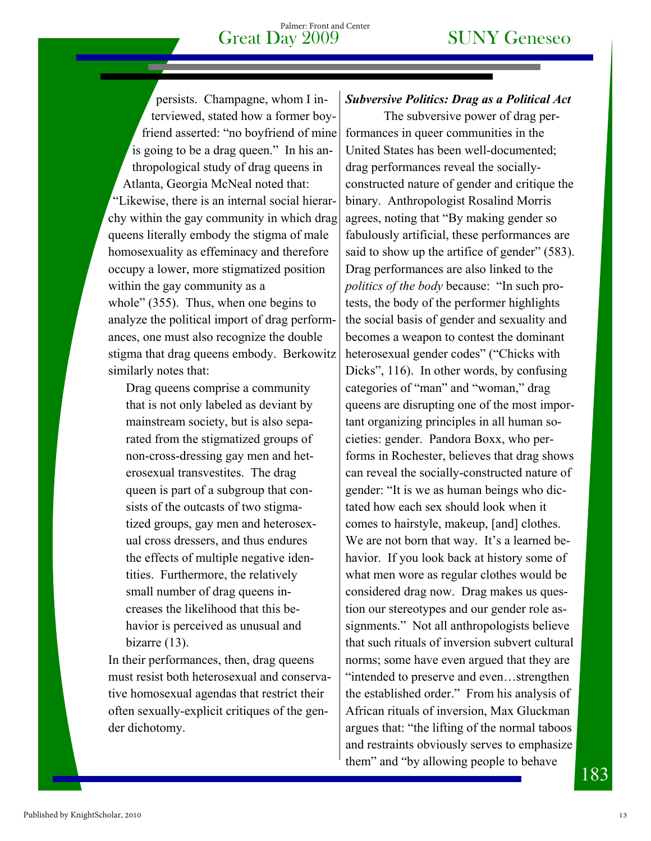persists. Champagne, whom I interviewed, stated how a former boyfriend asserted: "no boyfriend of mine is going to be a drag queen." In his anthropological study of drag queens in Atlanta, Georgia McNeal noted that: "Likewise, there is an internal social hierarchy within the gay community in which drag queens literally embody the stigma of male homosexuality as effeminacy and therefore occupy a lower, more stigmatized position within the gay community as a whole" (355). Thus, when one begins to analyze the political import of drag performances, one must also recognize the double stigma that drag queens embody. Berkowitz similarly notes that:

Drag queens comprise a community that is not only labeled as deviant by mainstream society, but is also separated from the stigmatized groups of non-cross-dressing gay men and heterosexual transvestites. The drag queen is part of a subgroup that consists of the outcasts of two stigmatized groups, gay men and heterosexual cross dressers, and thus endures the effects of multiple negative identities. Furthermore, the relatively small number of drag queens increases the likelihood that this behavior is perceived as unusual and bizarre (13).

In their performances, then, drag queens must resist both heterosexual and conservative homosexual agendas that restrict their often sexually-explicit critiques of the gender dichotomy.

# *Subversive Politics: Drag as a Political Act*

The subversive power of drag performances in queer communities in the United States has been well-documented; drag performances reveal the sociallyconstructed nature of gender and critique the binary. Anthropologist Rosalind Morris agrees, noting that "By making gender so fabulously artificial, these performances are said to show up the artifice of gender" (583). Drag performances are also linked to the *politics of the body* because: "In such protests, the body of the performer highlights the social basis of gender and sexuality and becomes a weapon to contest the dominant heterosexual gender codes" ("Chicks with Dicks", 116). In other words, by confusing categories of "man" and "woman," drag queens are disrupting one of the most important organizing principles in all human societies: gender. Pandora Boxx, who performs in Rochester, believes that drag shows can reveal the socially-constructed nature of gender: "It is we as human beings who dictated how each sex should look when it comes to hairstyle, makeup, [and] clothes. We are not born that way. It's a learned behavior. If you look back at history some of what men wore as regular clothes would be considered drag now. Drag makes us question our stereotypes and our gender role assignments." Not all anthropologists believe that such rituals of inversion subvert cultural norms; some have even argued that they are "intended to preserve and even…strengthen the established order." From his analysis of African rituals of inversion, Max Gluckman argues that: "the lifting of the normal taboos and restraints obviously serves to emphasize them" and "by allowing people to behave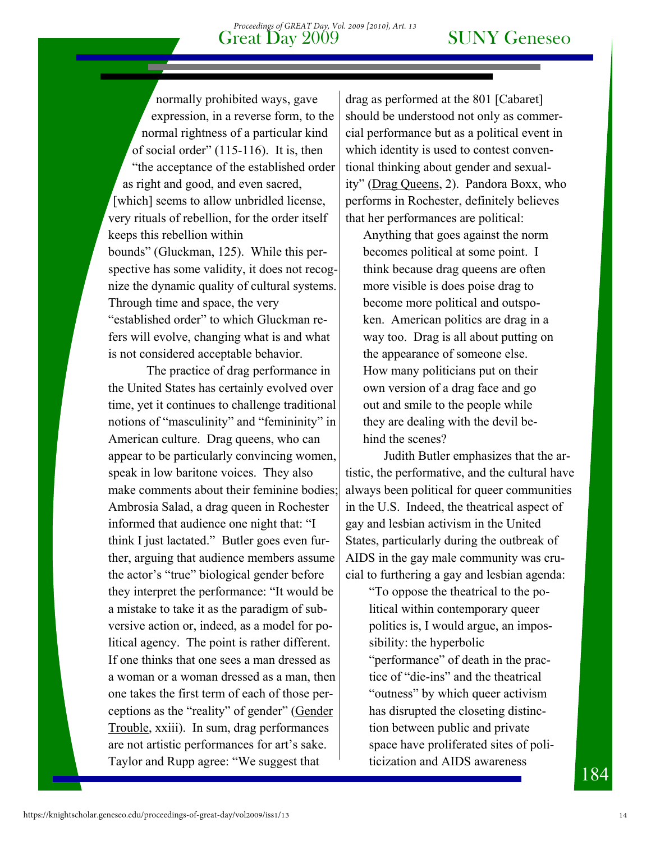normally prohibited ways, gave expression, in a reverse form, to the normal rightness of a particular kind of social order" (115-116). It is, then "the acceptance of the established order as right and good, and even sacred, [which] seems to allow unbridled license, very rituals of rebellion, for the order itself keeps this rebellion within bounds" (Gluckman, 125). While this perspective has some validity, it does not recognize the dynamic quality of cultural systems. Through time and space, the very "established order" to which Gluckman refers will evolve, changing what is and what is not considered acceptable behavior.

The practice of drag performance in the United States has certainly evolved over time, yet it continues to challenge traditional notions of "masculinity" and "femininity" in American culture. Drag queens, who can appear to be particularly convincing women, speak in low baritone voices. They also make comments about their feminine bodies; Ambrosia Salad, a drag queen in Rochester informed that audience one night that: "I think I just lactated." Butler goes even further, arguing that audience members assume the actor's "true" biological gender before they interpret the performance: "It would be a mistake to take it as the paradigm of subversive action or, indeed, as a model for political agency. The point is rather different. If one thinks that one sees a man dressed as a woman or a woman dressed as a man, then one takes the first term of each of those perceptions as the "reality" of gender" (Gender Trouble, xxiii). In sum, drag performances are not artistic performances for art's sake. Taylor and Rupp agree: "We suggest that

drag as performed at the 801 [Cabaret] should be understood not only as commercial performance but as a political event in which identity is used to contest conventional thinking about gender and sexuality" (Drag Queens, 2). Pandora Boxx, who performs in Rochester, definitely believes that her performances are political:

Anything that goes against the norm becomes political at some point. I think because drag queens are often more visible is does poise drag to become more political and outspoken. American politics are drag in a way too. Drag is all about putting on the appearance of someone else. How many politicians put on their own version of a drag face and go out and smile to the people while they are dealing with the devil behind the scenes?

Judith Butler emphasizes that the artistic, the performative, and the cultural have always been political for queer communities in the U.S. Indeed, the theatrical aspect of gay and lesbian activism in the United States, particularly during the outbreak of AIDS in the gay male community was crucial to furthering a gay and lesbian agenda:

"To oppose the theatrical to the political within contemporary queer politics is, I would argue, an impossibility: the hyperbolic "performance" of death in the practice of "die-ins" and the theatrical "outness" by which queer activism has disrupted the closeting distinction between public and private space have proliferated sites of politicization and AIDS awareness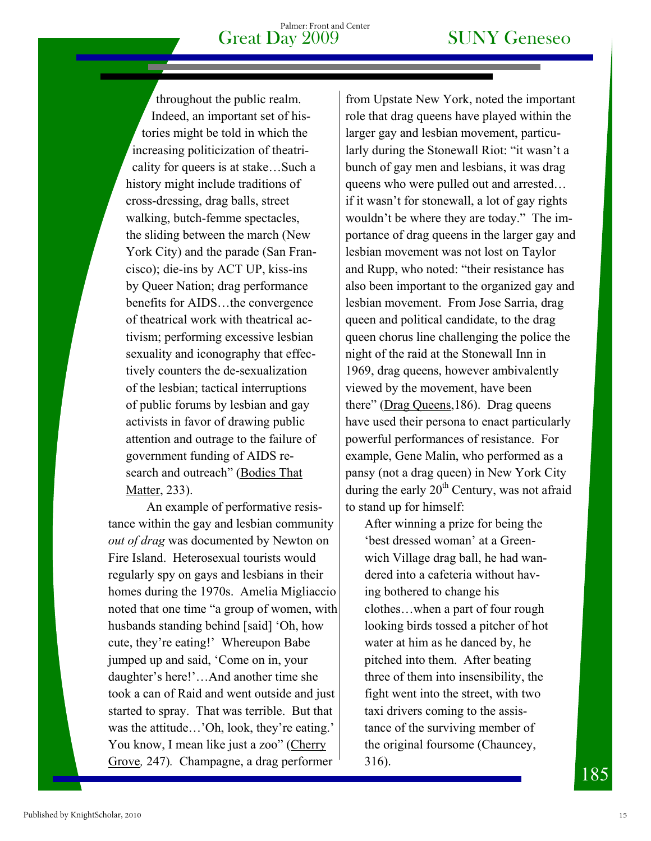throughout the public realm. Indeed, an important set of histories might be told in which the increasing politicization of theatricality for queers is at stake…Such a history might include traditions of cross-dressing, drag balls, street walking, butch-femme spectacles, the sliding between the march (New York City) and the parade (San Francisco); die-ins by ACT UP, kiss-ins by Queer Nation; drag performance benefits for AIDS…the convergence of theatrical work with theatrical activism; performing excessive lesbian sexuality and iconography that effectively counters the de-sexualization of the lesbian; tactical interruptions of public forums by lesbian and gay activists in favor of drawing public attention and outrage to the failure of government funding of AIDS research and outreach" (Bodies That Matter, 233).

An example of performative resistance within the gay and lesbian community *out of drag* was documented by Newton on Fire Island. Heterosexual tourists would regularly spy on gays and lesbians in their homes during the 1970s. Amelia Migliaccio noted that one time "a group of women, with husbands standing behind [said] 'Oh, how cute, they're eating!' Whereupon Babe jumped up and said, 'Come on in, your daughter's here!'…And another time she took a can of Raid and went outside and just started to spray. That was terrible. But that was the attitude…'Oh, look, they're eating.' You know, I mean like just a zoo" (Cherry Grove*,* 247)*.* Champagne, a drag performer

from Upstate New York, noted the important role that drag queens have played within the larger gay and lesbian movement, particularly during the Stonewall Riot: "it wasn't a bunch of gay men and lesbians, it was drag queens who were pulled out and arrested… if it wasn't for stonewall, a lot of gay rights wouldn't be where they are today." The importance of drag queens in the larger gay and lesbian movement was not lost on Taylor and Rupp, who noted: "their resistance has also been important to the organized gay and lesbian movement. From Jose Sarria, drag queen and political candidate, to the drag queen chorus line challenging the police the night of the raid at the Stonewall Inn in 1969, drag queens, however ambivalently viewed by the movement, have been there" (Drag Queens,186). Drag queens have used their persona to enact particularly powerful performances of resistance. For example, Gene Malin, who performed as a pansy (not a drag queen) in New York City during the early  $20<sup>th</sup>$  Century, was not afraid to stand up for himself:

After winning a prize for being the 'best dressed woman' at a Greenwich Village drag ball, he had wandered into a cafeteria without having bothered to change his clothes…when a part of four rough looking birds tossed a pitcher of hot water at him as he danced by, he pitched into them. After beating three of them into insensibility, the fight went into the street, with two taxi drivers coming to the assistance of the surviving member of the original foursome (Chauncey, 316).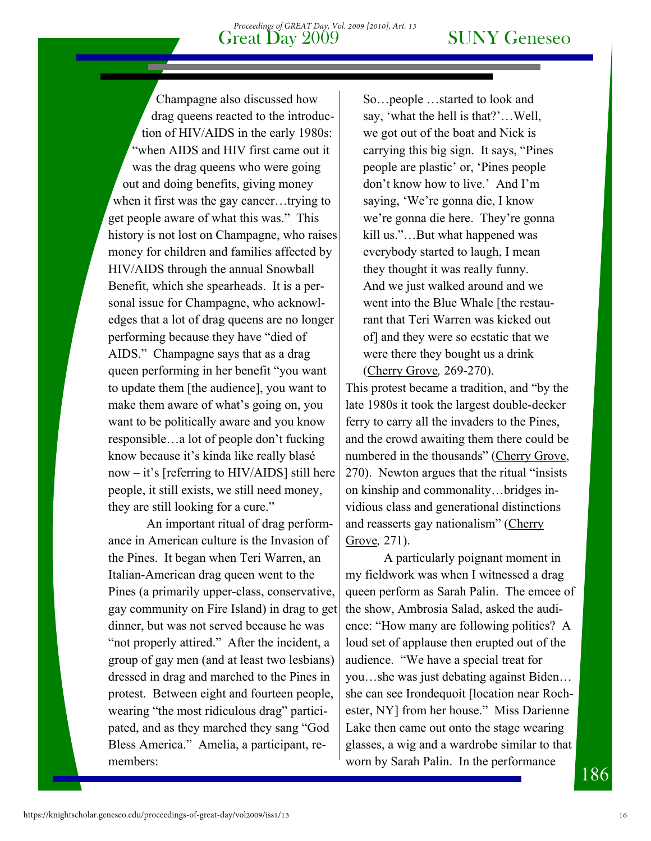Champagne also discussed how drag queens reacted to the introduction of HIV/AIDS in the early 1980s: "when AIDS and HIV first came out it was the drag queens who were going out and doing benefits, giving money when it first was the gay cancer…trying to get people aware of what this was." This history is not lost on Champagne, who raises money for children and families affected by HIV/AIDS through the annual Snowball Benefit, which she spearheads. It is a personal issue for Champagne, who acknowledges that a lot of drag queens are no longer performing because they have "died of AIDS." Champagne says that as a drag queen performing in her benefit "you want to update them [the audience], you want to make them aware of what's going on, you want to be politically aware and you know responsible…a lot of people don't fucking know because it's kinda like really blasé now – it's [referring to HIV/AIDS] still here people, it still exists, we still need money, they are still looking for a cure."

An important ritual of drag performance in American culture is the Invasion of the Pines. It began when Teri Warren, an Italian-American drag queen went to the Pines (a primarily upper-class, conservative, gay community on Fire Island) in drag to get dinner, but was not served because he was "not properly attired." After the incident, a group of gay men (and at least two lesbians) dressed in drag and marched to the Pines in protest. Between eight and fourteen people, wearing "the most ridiculous drag" participated, and as they marched they sang "God Bless America." Amelia, a participant, remembers:

So…people …started to look and say, 'what the hell is that?'…Well, we got out of the boat and Nick is carrying this big sign. It says, "Pines people are plastic' or, 'Pines people don't know how to live.' And I'm saying, 'We're gonna die, I know we're gonna die here. They're gonna kill us."…But what happened was everybody started to laugh, I mean they thought it was really funny. And we just walked around and we went into the Blue Whale [the restaurant that Teri Warren was kicked out of] and they were so ecstatic that we were there they bought us a drink (Cherry Grove*,* 269-270).

This protest became a tradition, and "by the late 1980s it took the largest double-decker ferry to carry all the invaders to the Pines, and the crowd awaiting them there could be numbered in the thousands" (Cherry Grove, 270). Newton argues that the ritual "insists on kinship and commonality…bridges invidious class and generational distinctions and reasserts gay nationalism" (Cherry Grove*,* 271).

A particularly poignant moment in my fieldwork was when I witnessed a drag queen perform as Sarah Palin. The emcee of the show, Ambrosia Salad, asked the audience: "How many are following politics? A loud set of applause then erupted out of the audience. "We have a special treat for you…she was just debating against Biden… she can see Irondequoit [location near Rochester, NY] from her house." Miss Darienne Lake then came out onto the stage wearing glasses, a wig and a wardrobe similar to that worn by Sarah Palin. In the performance

https://knightscholar.geneseo.edu/proceedings-of-great-day/vol2009/iss1/13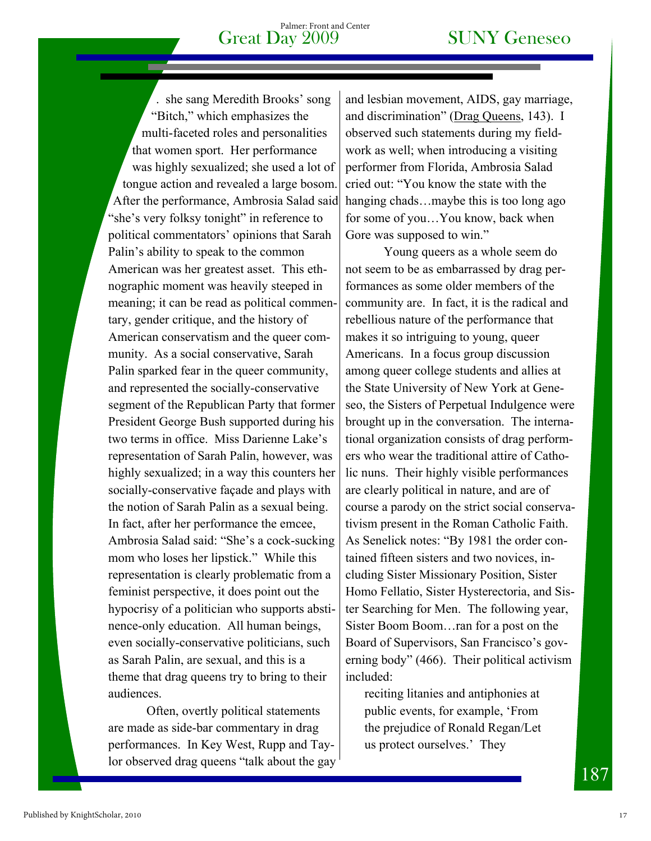. she sang Meredith Brooks' song "Bitch," which emphasizes the multi-faceted roles and personalities that women sport. Her performance was highly sexualized; she used a lot of tongue action and revealed a large bosom. After the performance, Ambrosia Salad said "she's very folksy tonight" in reference to political commentators' opinions that Sarah Palin's ability to speak to the common American was her greatest asset. This ethnographic moment was heavily steeped in meaning; it can be read as political commentary, gender critique, and the history of American conservatism and the queer community. As a social conservative, Sarah Palin sparked fear in the queer community, and represented the socially-conservative segment of the Republican Party that former President George Bush supported during his two terms in office. Miss Darienne Lake's representation of Sarah Palin, however, was highly sexualized; in a way this counters her socially-conservative façade and plays with the notion of Sarah Palin as a sexual being. In fact, after her performance the emcee, Ambrosia Salad said: "She's a cock-sucking mom who loses her lipstick." While this representation is clearly problematic from a feminist perspective, it does point out the hypocrisy of a politician who supports abstinence-only education. All human beings, even socially-conservative politicians, such as Sarah Palin, are sexual, and this is a theme that drag queens try to bring to their audiences.

Often, overtly political statements are made as side-bar commentary in drag performances. In Key West, Rupp and Taylor observed drag queens "talk about the gay and lesbian movement, AIDS, gay marriage, and discrimination" (Drag Queens, 143). I observed such statements during my fieldwork as well; when introducing a visiting performer from Florida, Ambrosia Salad cried out: "You know the state with the hanging chads…maybe this is too long ago for some of you…You know, back when Gore was supposed to win."

Young queers as a whole seem do not seem to be as embarrassed by drag performances as some older members of the community are. In fact, it is the radical and rebellious nature of the performance that makes it so intriguing to young, queer Americans. In a focus group discussion among queer college students and allies at the State University of New York at Geneseo, the Sisters of Perpetual Indulgence were brought up in the conversation. The international organization consists of drag performers who wear the traditional attire of Catholic nuns. Their highly visible performances are clearly political in nature, and are of course a parody on the strict social conservativism present in the Roman Catholic Faith. As Senelick notes: "By 1981 the order contained fifteen sisters and two novices, including Sister Missionary Position, Sister Homo Fellatio, Sister Hysterectoria, and Sister Searching for Men. The following year, Sister Boom Boom...ran for a post on the Board of Supervisors, San Francisco's governing body" (466). Their political activism included:

reciting litanies and antiphonies at public events, for example, 'From the prejudice of Ronald Regan/Let us protect ourselves.' They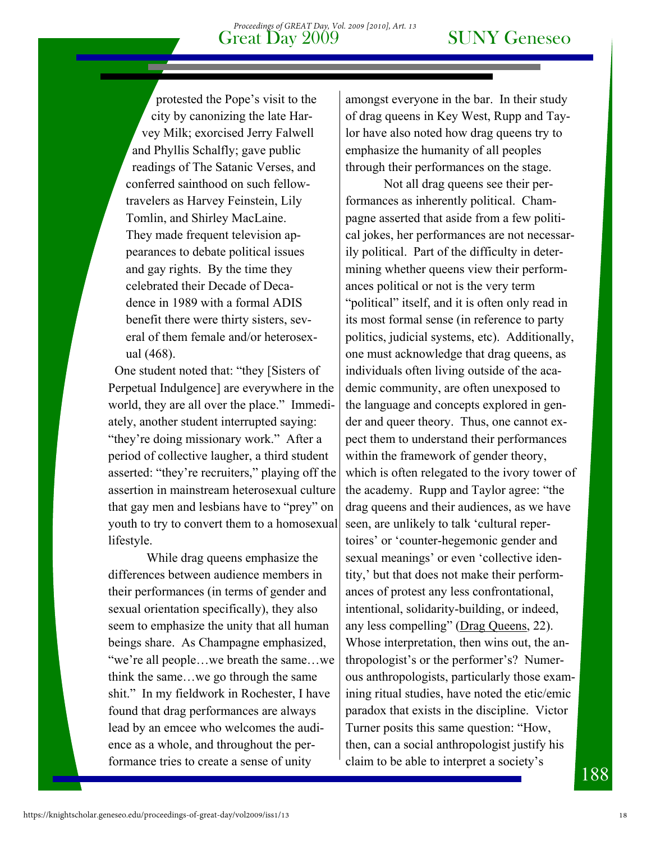protested the Pope's visit to the city by canonizing the late Harvey Milk; exorcised Jerry Falwell and Phyllis Schalfly; gave public readings of The Satanic Verses, and conferred sainthood on such fellowtravelers as Harvey Feinstein, Lily Tomlin, and Shirley MacLaine. They made frequent television appearances to debate political issues and gay rights. By the time they celebrated their Decade of Decadence in 1989 with a formal ADIS benefit there were thirty sisters, several of them female and/or heterosexual (468).

 One student noted that: "they [Sisters of Perpetual Indulgence] are everywhere in the world, they are all over the place." Immediately, another student interrupted saying: "they're doing missionary work." After a period of collective laugher, a third student asserted: "they're recruiters," playing off the assertion in mainstream heterosexual culture that gay men and lesbians have to "prey" on youth to try to convert them to a homosexual lifestyle.

While drag queens emphasize the differences between audience members in their performances (in terms of gender and sexual orientation specifically), they also seem to emphasize the unity that all human beings share. As Champagne emphasized, "we're all people…we breath the same…we think the same…we go through the same shit." In my fieldwork in Rochester, I have found that drag performances are always lead by an emcee who welcomes the audience as a whole, and throughout the performance tries to create a sense of unity

amongst everyone in the bar. In their study of drag queens in Key West, Rupp and Taylor have also noted how drag queens try to emphasize the humanity of all peoples through their performances on the stage.

Not all drag queens see their performances as inherently political. Champagne asserted that aside from a few political jokes, her performances are not necessarily political. Part of the difficulty in determining whether queens view their performances political or not is the very term "political" itself, and it is often only read in its most formal sense (in reference to party politics, judicial systems, etc). Additionally, one must acknowledge that drag queens, as individuals often living outside of the academic community, are often unexposed to the language and concepts explored in gender and queer theory. Thus, one cannot expect them to understand their performances within the framework of gender theory, which is often relegated to the ivory tower of the academy. Rupp and Taylor agree: "the drag queens and their audiences, as we have seen, are unlikely to talk 'cultural repertoires' or 'counter-hegemonic gender and sexual meanings' or even 'collective identity,' but that does not make their performances of protest any less confrontational, intentional, solidarity-building, or indeed, any less compelling" (Drag Queens, 22). Whose interpretation, then wins out, the anthropologist's or the performer's? Numerous anthropologists, particularly those examining ritual studies, have noted the etic/emic paradox that exists in the discipline. Victor Turner posits this same question: "How, then, can a social anthropologist justify his claim to be able to interpret a society's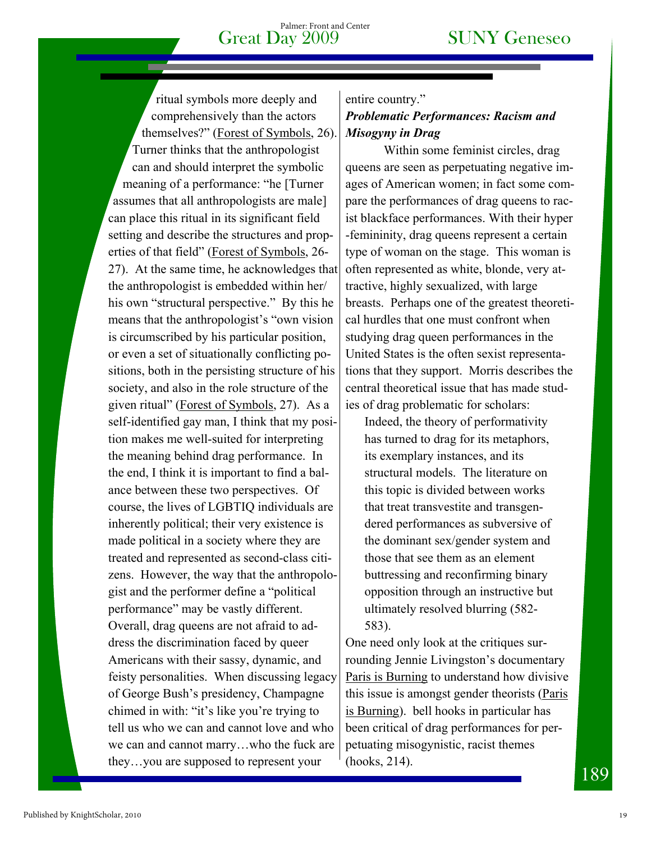ritual symbols more deeply and comprehensively than the actors themselves?" (Forest of Symbols, 26). Turner thinks that the anthropologist can and should interpret the symbolic meaning of a performance: "he [Turner assumes that all anthropologists are male] can place this ritual in its significant field setting and describe the structures and properties of that field" (Forest of Symbols, 26- 27). At the same time, he acknowledges that the anthropologist is embedded within her/ his own "structural perspective." By this he means that the anthropologist's "own vision is circumscribed by his particular position, or even a set of situationally conflicting positions, both in the persisting structure of his society, and also in the role structure of the given ritual" (Forest of Symbols, 27). As a self-identified gay man, I think that my position makes me well-suited for interpreting the meaning behind drag performance. In the end, I think it is important to find a balance between these two perspectives. Of course, the lives of LGBTIQ individuals are inherently political; their very existence is made political in a society where they are treated and represented as second-class citizens. However, the way that the anthropologist and the performer define a "political performance" may be vastly different. Overall, drag queens are not afraid to address the discrimination faced by queer Americans with their sassy, dynamic, and feisty personalities. When discussing legacy of George Bush's presidency, Champagne chimed in with: "it's like you're trying to tell us who we can and cannot love and who we can and cannot marry…who the fuck are they…you are supposed to represent your

# entire country." *Problematic Performances: Racism and Misogyny in Drag*

Within some feminist circles, drag queens are seen as perpetuating negative images of American women; in fact some compare the performances of drag queens to racist blackface performances. With their hyper -femininity, drag queens represent a certain type of woman on the stage. This woman is often represented as white, blonde, very attractive, highly sexualized, with large breasts. Perhaps one of the greatest theoretical hurdles that one must confront when studying drag queen performances in the United States is the often sexist representations that they support. Morris describes the central theoretical issue that has made studies of drag problematic for scholars:

Indeed, the theory of performativity has turned to drag for its metaphors, its exemplary instances, and its structural models. The literature on this topic is divided between works that treat transvestite and transgendered performances as subversive of the dominant sex/gender system and those that see them as an element buttressing and reconfirming binary opposition through an instructive but ultimately resolved blurring (582- 583).

One need only look at the critiques surrounding Jennie Livingston's documentary Paris is Burning to understand how divisive this issue is amongst gender theorists (Paris is Burning). bell hooks in particular has been critical of drag performances for perpetuating misogynistic, racist themes (hooks, 214).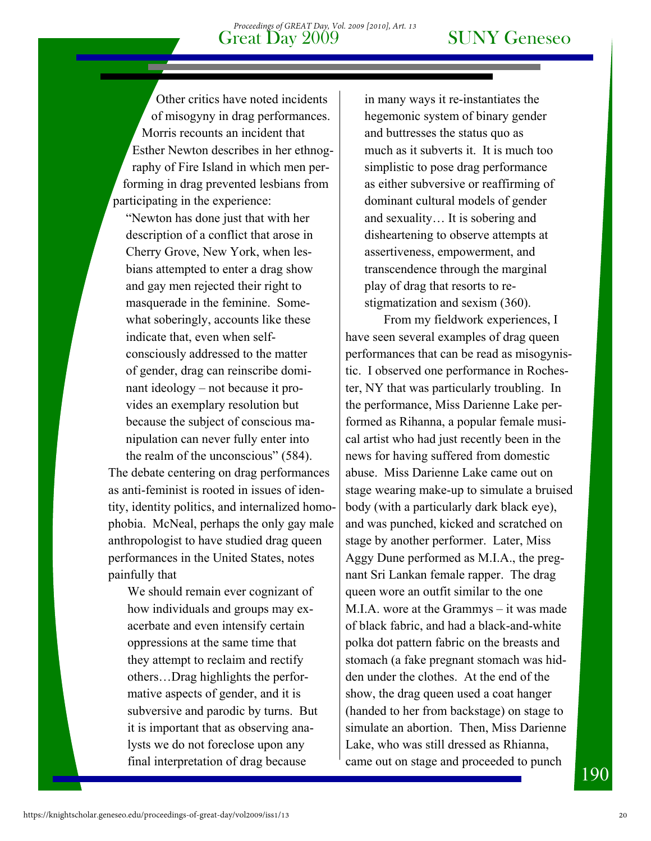Other critics have noted incidents of misogyny in drag performances. Morris recounts an incident that Esther Newton describes in her ethnography of Fire Island in which men performing in drag prevented lesbians from participating in the experience:

"Newton has done just that with her description of a conflict that arose in Cherry Grove, New York, when lesbians attempted to enter a drag show and gay men rejected their right to masquerade in the feminine. Somewhat soberingly, accounts like these indicate that, even when selfconsciously addressed to the matter of gender, drag can reinscribe dominant ideology – not because it provides an exemplary resolution but because the subject of conscious manipulation can never fully enter into

the realm of the unconscious" (584). The debate centering on drag performances as anti-feminist is rooted in issues of identity, identity politics, and internalized homophobia. McNeal, perhaps the only gay male anthropologist to have studied drag queen performances in the United States, notes painfully that

We should remain ever cognizant of how individuals and groups may exacerbate and even intensify certain oppressions at the same time that they attempt to reclaim and rectify others…Drag highlights the performative aspects of gender, and it is subversive and parodic by turns. But it is important that as observing analysts we do not foreclose upon any final interpretation of drag because

in many ways it re-instantiates the hegemonic system of binary gender and buttresses the status quo as much as it subverts it. It is much too simplistic to pose drag performance as either subversive or reaffirming of dominant cultural models of gender and sexuality… It is sobering and disheartening to observe attempts at assertiveness, empowerment, and transcendence through the marginal play of drag that resorts to restigmatization and sexism (360).

From my fieldwork experiences, I have seen several examples of drag queen performances that can be read as misogynistic. I observed one performance in Rochester, NY that was particularly troubling. In the performance, Miss Darienne Lake performed as Rihanna, a popular female musical artist who had just recently been in the news for having suffered from domestic abuse. Miss Darienne Lake came out on stage wearing make-up to simulate a bruised body (with a particularly dark black eye), and was punched, kicked and scratched on stage by another performer. Later, Miss Aggy Dune performed as M.I.A., the pregnant Sri Lankan female rapper. The drag queen wore an outfit similar to the one M.I.A. wore at the Grammys – it was made of black fabric, and had a black-and-white polka dot pattern fabric on the breasts and stomach (a fake pregnant stomach was hidden under the clothes. At the end of the show, the drag queen used a coat hanger (handed to her from backstage) on stage to simulate an abortion. Then, Miss Darienne Lake, who was still dressed as Rhianna, came out on stage and proceeded to punch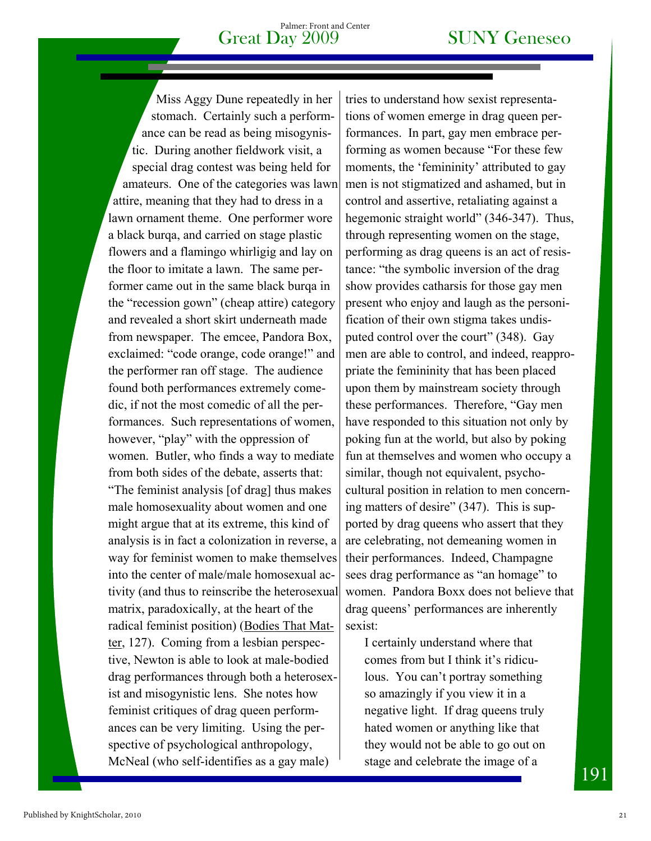Miss Aggy Dune repeatedly in her stomach. Certainly such a performance can be read as being misogynistic. During another fieldwork visit, a special drag contest was being held for amateurs. One of the categories was lawn attire, meaning that they had to dress in a lawn ornament theme. One performer wore a black burqa, and carried on stage plastic flowers and a flamingo whirligig and lay on the floor to imitate a lawn. The same performer came out in the same black burqa in the "recession gown" (cheap attire) category and revealed a short skirt underneath made from newspaper. The emcee, Pandora Box, exclaimed: "code orange, code orange!" and the performer ran off stage. The audience found both performances extremely comedic, if not the most comedic of all the performances. Such representations of women, however, "play" with the oppression of women. Butler, who finds a way to mediate from both sides of the debate, asserts that: "The feminist analysis [of drag] thus makes male homosexuality about women and one might argue that at its extreme, this kind of analysis is in fact a colonization in reverse, a way for feminist women to make themselves into the center of male/male homosexual activity (and thus to reinscribe the heterosexual matrix, paradoxically, at the heart of the radical feminist position) (Bodies That Matter, 127). Coming from a lesbian perspective, Newton is able to look at male-bodied drag performances through both a heterosexist and misogynistic lens. She notes how feminist critiques of drag queen performances can be very limiting. Using the perspective of psychological anthropology, McNeal (who self-identifies as a gay male)

tries to understand how sexist representations of women emerge in drag queen performances. In part, gay men embrace performing as women because "For these few moments, the 'femininity' attributed to gay men is not stigmatized and ashamed, but in control and assertive, retaliating against a hegemonic straight world" (346-347). Thus, through representing women on the stage, performing as drag queens is an act of resistance: "the symbolic inversion of the drag show provides catharsis for those gay men present who enjoy and laugh as the personification of their own stigma takes undisputed control over the court" (348). Gay men are able to control, and indeed, reappropriate the femininity that has been placed upon them by mainstream society through these performances. Therefore, "Gay men have responded to this situation not only by poking fun at the world, but also by poking fun at themselves and women who occupy a similar, though not equivalent, psychocultural position in relation to men concerning matters of desire" (347). This is supported by drag queens who assert that they are celebrating, not demeaning women in their performances. Indeed, Champagne sees drag performance as "an homage" to women. Pandora Boxx does not believe that drag queens' performances are inherently sexist:

I certainly understand where that comes from but I think it's ridiculous. You can't portray something so amazingly if you view it in a negative light. If drag queens truly hated women or anything like that they would not be able to go out on stage and celebrate the image of a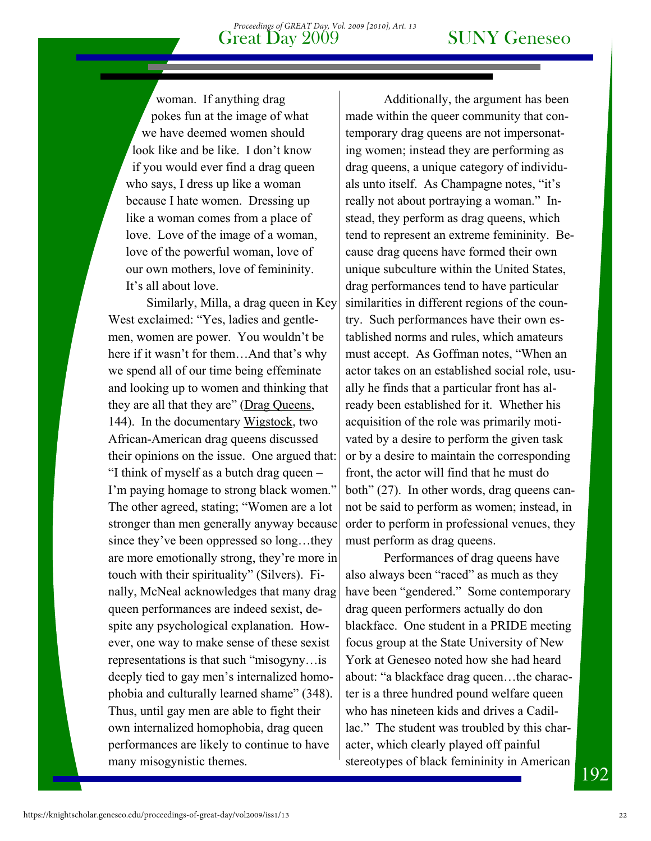woman. If anything drag pokes fun at the image of what we have deemed women should look like and be like. I don't know if you would ever find a drag queen who says, I dress up like a woman because I hate women. Dressing up like a woman comes from a place of love. Love of the image of a woman, love of the powerful woman, love of our own mothers, love of femininity. It's all about love.

Similarly, Milla, a drag queen in Key West exclaimed: "Yes, ladies and gentlemen, women are power. You wouldn't be here if it wasn't for them…And that's why we spend all of our time being effeminate and looking up to women and thinking that they are all that they are" (Drag Queens, 144). In the documentary Wigstock, two African-American drag queens discussed their opinions on the issue. One argued that: "I think of myself as a butch drag queen – I'm paying homage to strong black women." The other agreed, stating; "Women are a lot stronger than men generally anyway because since they've been oppressed so long...they are more emotionally strong, they're more in touch with their spirituality" (Silvers). Finally, McNeal acknowledges that many drag queen performances are indeed sexist, despite any psychological explanation. However, one way to make sense of these sexist representations is that such "misogyny…is deeply tied to gay men's internalized homophobia and culturally learned shame" (348). Thus, until gay men are able to fight their own internalized homophobia, drag queen performances are likely to continue to have many misogynistic themes.

Additionally, the argument has been made within the queer community that contemporary drag queens are not impersonating women; instead they are performing as drag queens, a unique category of individuals unto itself. As Champagne notes, "it's really not about portraying a woman." Instead, they perform as drag queens, which tend to represent an extreme femininity. Because drag queens have formed their own unique subculture within the United States, drag performances tend to have particular similarities in different regions of the country. Such performances have their own established norms and rules, which amateurs must accept. As Goffman notes, "When an actor takes on an established social role, usually he finds that a particular front has already been established for it. Whether his acquisition of the role was primarily motivated by a desire to perform the given task or by a desire to maintain the corresponding front, the actor will find that he must do both" (27). In other words, drag queens cannot be said to perform as women; instead, in order to perform in professional venues, they must perform as drag queens.

Performances of drag queens have also always been "raced" as much as they have been "gendered." Some contemporary drag queen performers actually do don blackface. One student in a PRIDE meeting focus group at the State University of New York at Geneseo noted how she had heard about: "a blackface drag queen…the character is a three hundred pound welfare queen who has nineteen kids and drives a Cadillac." The student was troubled by this character, which clearly played off painful stereotypes of black femininity in American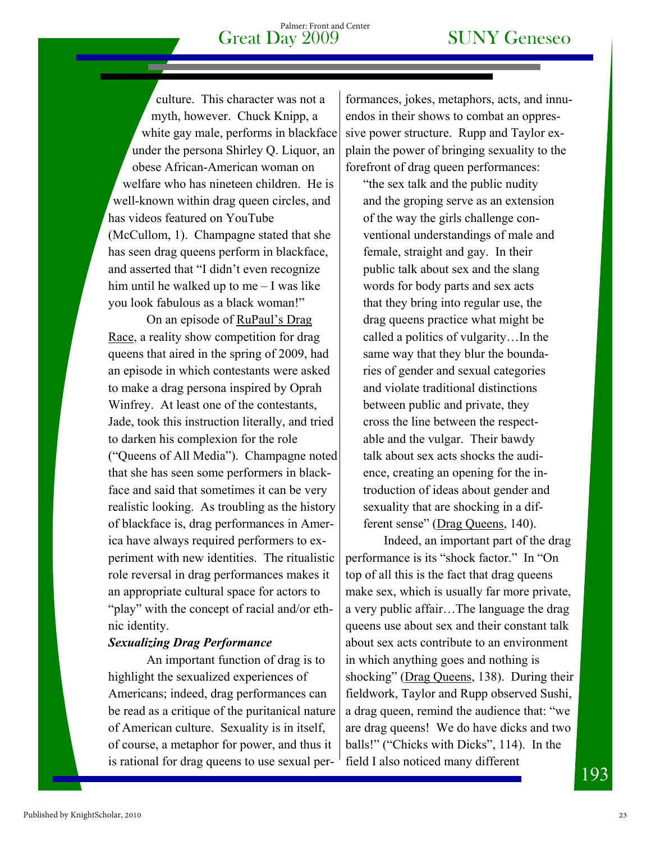culture. This character was not a myth, however. Chuck Knipp, a white gay male, performs in blackface under the persona Shirley Q. Liquor, an obese African-American woman on welfare who has nineteen children. He is well-known within drag queen circles, and has videos featured on YouTube (McCullom, 1). Champagne stated that she has seen drag queens perform in blackface, and asserted that "I didn't even recognize him until he walked up to me – I was like you look fabulous as a black woman!"

On an episode of RuPaul's Drag Race, a reality show competition for drag queens that aired in the spring of 2009, had an episode in which contestants were asked to make a drag persona inspired by Oprah Winfrey. At least one of the contestants, Jade, took this instruction literally, and tried to darken his complexion for the role ("Queens of All Media"). Champagne noted that she has seen some performers in blackface and said that sometimes it can be very realistic looking. As troubling as the history of blackface is, drag performances in America have always required performers to experiment with new identities. The ritualistic role reversal in drag performances makes it an appropriate cultural space for actors to "play" with the concept of racial and/or ethnic identity.

# *Sexualizing Drag Performance*

An important function of drag is to highlight the sexualized experiences of Americans; indeed, drag performances can be read as a critique of the puritanical nature of American culture. Sexuality is in itself, of course, a metaphor for power, and thus it is rational for drag queens to use sexual per-

formances, jokes, metaphors, acts, and innuendos in their shows to combat an oppressive power structure. Rupp and Taylor explain the power of bringing sexuality to the forefront of drag queen performances:

"the sex talk and the public nudity and the groping serve as an extension of the way the girls challenge conventional understandings of male and female, straight and gay. In their public talk about sex and the slang words for body parts and sex acts that they bring into regular use, the drag queens practice what might be called a politics of vulgarity…In the same way that they blur the boundaries of gender and sexual categories and violate traditional distinctions between public and private, they cross the line between the respectable and the vulgar. Their bawdy talk about sex acts shocks the audience, creating an opening for the introduction of ideas about gender and sexuality that are shocking in a different sense" (Drag Queens, 140).

Indeed, an important part of the drag performance is its "shock factor." In "On top of all this is the fact that drag queens make sex, which is usually far more private, a very public affair…The language the drag queens use about sex and their constant talk about sex acts contribute to an environment in which anything goes and nothing is shocking" (Drag Queens, 138). During their fieldwork, Taylor and Rupp observed Sushi, a drag queen, remind the audience that: "we are drag queens! We do have dicks and two balls!" ("Chicks with Dicks", 114). In the field I also noticed many different

Published by KnightScholar, 2010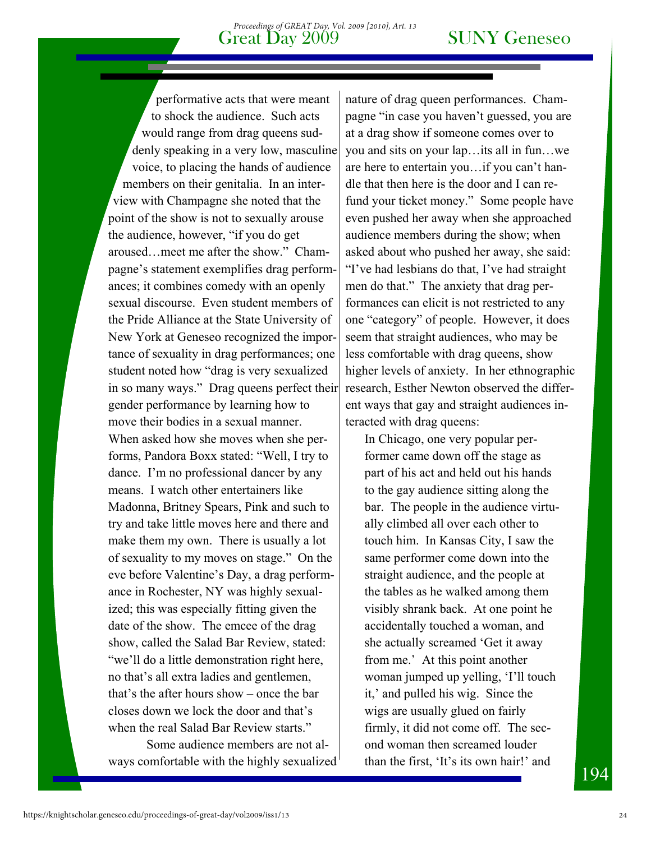performative acts that were meant to shock the audience. Such acts would range from drag queens suddenly speaking in a very low, masculine voice, to placing the hands of audience members on their genitalia. In an interview with Champagne she noted that the point of the show is not to sexually arouse the audience, however, "if you do get aroused…meet me after the show." Champagne's statement exemplifies drag performances; it combines comedy with an openly sexual discourse. Even student members of the Pride Alliance at the State University of New York at Geneseo recognized the importance of sexuality in drag performances; one student noted how "drag is very sexualized in so many ways." Drag queens perfect their gender performance by learning how to move their bodies in a sexual manner. When asked how she moves when she performs, Pandora Boxx stated: "Well, I try to dance. I'm no professional dancer by any means. I watch other entertainers like Madonna, Britney Spears, Pink and such to try and take little moves here and there and make them my own. There is usually a lot of sexuality to my moves on stage." On the eve before Valentine's Day, a drag performance in Rochester, NY was highly sexualized; this was especially fitting given the date of the show. The emcee of the drag show, called the Salad Bar Review, stated: "we'll do a little demonstration right here, no that's all extra ladies and gentlemen, that's the after hours show – once the bar closes down we lock the door and that's when the real Salad Bar Review starts."

Some audience members are not always comfortable with the highly sexualized

nature of drag queen performances. Champagne "in case you haven't guessed, you are at a drag show if someone comes over to you and sits on your lap…its all in fun…we are here to entertain you…if you can't handle that then here is the door and I can refund your ticket money." Some people have even pushed her away when she approached audience members during the show; when asked about who pushed her away, she said: "I've had lesbians do that, I've had straight men do that." The anxiety that drag performances can elicit is not restricted to any one "category" of people. However, it does seem that straight audiences, who may be less comfortable with drag queens, show higher levels of anxiety. In her ethnographic research, Esther Newton observed the different ways that gay and straight audiences interacted with drag queens:

In Chicago, one very popular performer came down off the stage as part of his act and held out his hands to the gay audience sitting along the bar. The people in the audience virtually climbed all over each other to touch him. In Kansas City, I saw the same performer come down into the straight audience, and the people at the tables as he walked among them visibly shrank back. At one point he accidentally touched a woman, and she actually screamed 'Get it away from me.' At this point another woman jumped up yelling, 'I'll touch it,' and pulled his wig. Since the wigs are usually glued on fairly firmly, it did not come off. The second woman then screamed louder than the first, 'It's its own hair!' and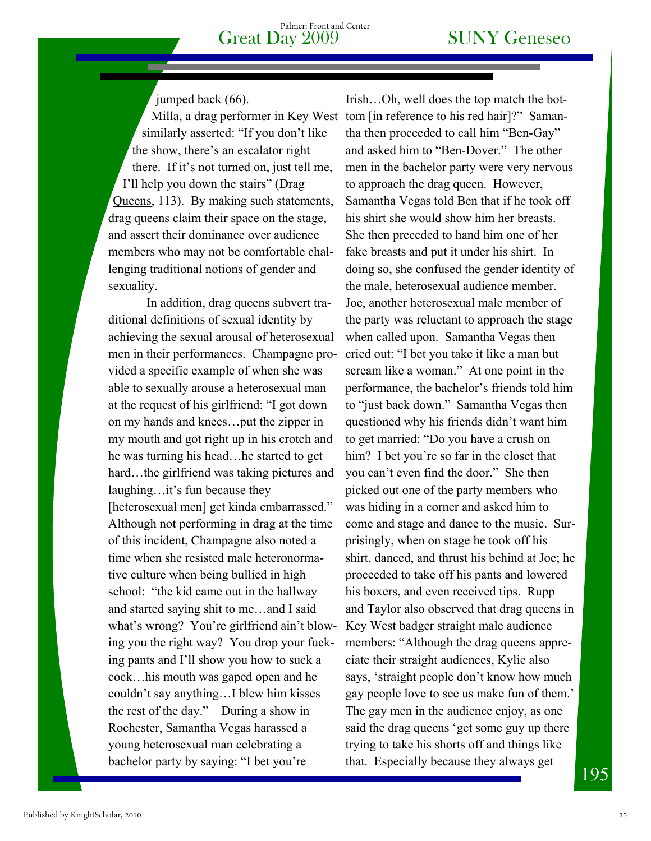jumped back (66).

Milla, a drag performer in Key West similarly asserted: "If you don't like the show, there's an escalator right there. If it's not turned on, just tell me, I'll help you down the stairs" (Drag Queens, 113). By making such statements, drag queens claim their space on the stage, and assert their dominance over audience members who may not be comfortable challenging traditional notions of gender and sexuality.

In addition, drag queens subvert traditional definitions of sexual identity by achieving the sexual arousal of heterosexual men in their performances. Champagne provided a specific example of when she was able to sexually arouse a heterosexual man at the request of his girlfriend: "I got down on my hands and knees…put the zipper in my mouth and got right up in his crotch and he was turning his head…he started to get hard…the girlfriend was taking pictures and laughing…it's fun because they [heterosexual men] get kinda embarrassed." Although not performing in drag at the time of this incident, Champagne also noted a time when she resisted male heteronormative culture when being bullied in high school: "the kid came out in the hallway and started saying shit to me…and I said what's wrong? You're girlfriend ain't blowing you the right way? You drop your fucking pants and I'll show you how to suck a cock…his mouth was gaped open and he couldn't say anything…I blew him kisses the rest of the day." During a show in Rochester, Samantha Vegas harassed a young heterosexual man celebrating a bachelor party by saying: "I bet you're

Irish…Oh, well does the top match the bottom [in reference to his red hair]?" Samantha then proceeded to call him "Ben-Gay" and asked him to "Ben-Dover." The other men in the bachelor party were very nervous to approach the drag queen. However, Samantha Vegas told Ben that if he took off his shirt she would show him her breasts. She then preceded to hand him one of her fake breasts and put it under his shirt. In doing so, she confused the gender identity of the male, heterosexual audience member. Joe, another heterosexual male member of the party was reluctant to approach the stage when called upon. Samantha Vegas then cried out: "I bet you take it like a man but scream like a woman." At one point in the performance, the bachelor's friends told him to "just back down." Samantha Vegas then questioned why his friends didn't want him to get married: "Do you have a crush on him? I bet you're so far in the closet that you can't even find the door." She then picked out one of the party members who was hiding in a corner and asked him to come and stage and dance to the music. Surprisingly, when on stage he took off his shirt, danced, and thrust his behind at Joe; he proceeded to take off his pants and lowered his boxers, and even received tips. Rupp and Taylor also observed that drag queens in Key West badger straight male audience members: "Although the drag queens appreciate their straight audiences, Kylie also says, 'straight people don't know how much gay people love to see us make fun of them.' The gay men in the audience enjoy, as one said the drag queens 'get some guy up there trying to take his shorts off and things like that. Especially because they always get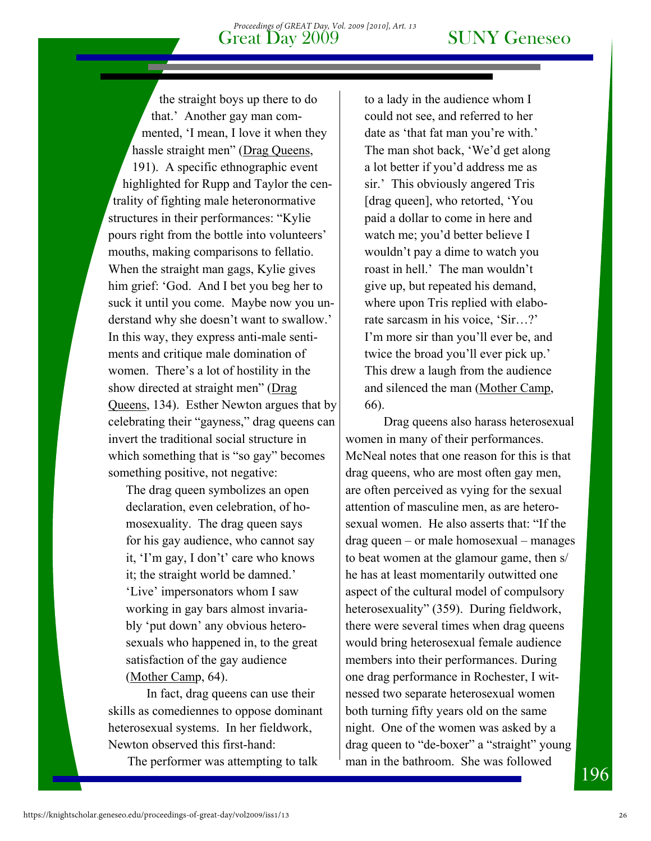the straight boys up there to do that.' Another gay man commented, 'I mean, I love it when they hassle straight men" (Drag Queens, 191). A specific ethnographic event highlighted for Rupp and Taylor the centrality of fighting male heteronormative structures in their performances: "Kylie pours right from the bottle into volunteers' mouths, making comparisons to fellatio. When the straight man gags, Kylie gives him grief: 'God. And I bet you beg her to suck it until you come. Maybe now you understand why she doesn't want to swallow.' In this way, they express anti-male sentiments and critique male domination of women. There's a lot of hostility in the show directed at straight men" (Drag Queens, 134). Esther Newton argues that by celebrating their "gayness," drag queens can invert the traditional social structure in which something that is "so gay" becomes something positive, not negative:

The drag queen symbolizes an open declaration, even celebration, of homosexuality. The drag queen says for his gay audience, who cannot say it, 'I'm gay, I don't' care who knows it; the straight world be damned.' 'Live' impersonators whom I saw working in gay bars almost invariably 'put down' any obvious heterosexuals who happened in, to the great satisfaction of the gay audience (Mother Camp, 64).

In fact, drag queens can use their skills as comediennes to oppose dominant heterosexual systems. In her fieldwork, Newton observed this first-hand:

The performer was attempting to talk

to a lady in the audience whom I could not see, and referred to her date as 'that fat man you're with.' The man shot back, 'We'd get along a lot better if you'd address me as sir.' This obviously angered Tris [drag queen], who retorted, 'You paid a dollar to come in here and watch me; you'd better believe I wouldn't pay a dime to watch you roast in hell.' The man wouldn't give up, but repeated his demand, where upon Tris replied with elaborate sarcasm in his voice, 'Sir…?' I'm more sir than you'll ever be, and twice the broad you'll ever pick up.' This drew a laugh from the audience and silenced the man (Mother Camp, 66).

Drag queens also harass heterosexual women in many of their performances. McNeal notes that one reason for this is that drag queens, who are most often gay men, are often perceived as vying for the sexual attention of masculine men, as are heterosexual women. He also asserts that: "If the drag queen – or male homosexual – manages to beat women at the glamour game, then s/ he has at least momentarily outwitted one aspect of the cultural model of compulsory heterosexuality" (359). During fieldwork, there were several times when drag queens would bring heterosexual female audience members into their performances. During one drag performance in Rochester, I witnessed two separate heterosexual women both turning fifty years old on the same night. One of the women was asked by a drag queen to "de-boxer" a "straight" young man in the bathroom. She was followed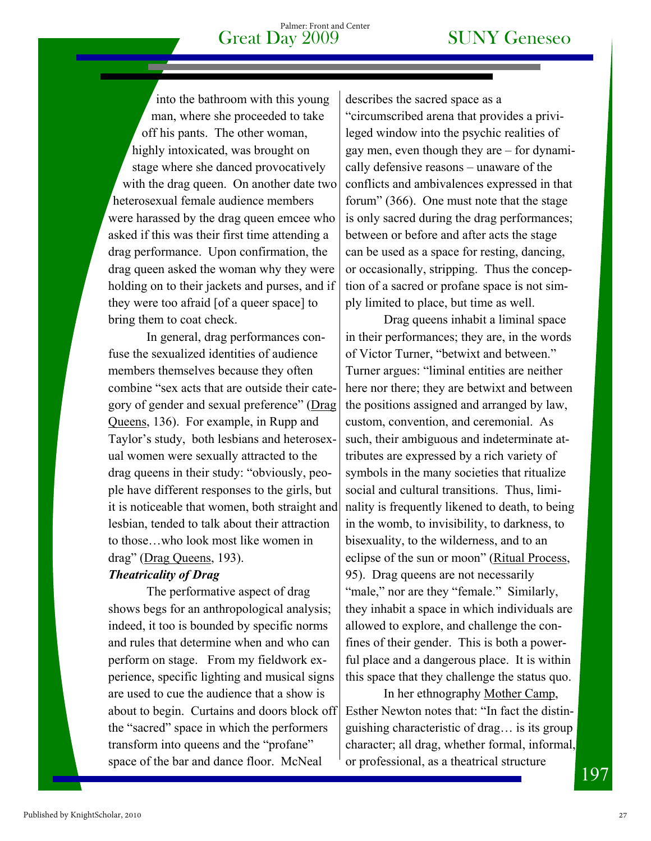into the bathroom with this young man, where she proceeded to take off his pants. The other woman, highly intoxicated, was brought on stage where she danced provocatively with the drag queen. On another date two heterosexual female audience members were harassed by the drag queen emcee who asked if this was their first time attending a drag performance. Upon confirmation, the drag queen asked the woman why they were holding on to their jackets and purses, and if they were too afraid [of a queer space] to bring them to coat check.

In general, drag performances confuse the sexualized identities of audience members themselves because they often combine "sex acts that are outside their category of gender and sexual preference" (Drag Queens, 136). For example, in Rupp and Taylor's study, both lesbians and heterosexual women were sexually attracted to the drag queens in their study: "obviously, people have different responses to the girls, but it is noticeable that women, both straight and lesbian, tended to talk about their attraction to those…who look most like women in drag" (Drag Queens, 193).

# *Theatricality of Drag*

The performative aspect of drag shows begs for an anthropological analysis; indeed, it too is bounded by specific norms and rules that determine when and who can perform on stage. From my fieldwork experience, specific lighting and musical signs are used to cue the audience that a show is about to begin. Curtains and doors block off the "sacred" space in which the performers transform into queens and the "profane" space of the bar and dance floor. McNeal

describes the sacred space as a "circumscribed arena that provides a privileged window into the psychic realities of gay men, even though they are – for dynamically defensive reasons – unaware of the conflicts and ambivalences expressed in that forum" (366). One must note that the stage is only sacred during the drag performances; between or before and after acts the stage can be used as a space for resting, dancing, or occasionally, stripping. Thus the conception of a sacred or profane space is not simply limited to place, but time as well.

Drag queens inhabit a liminal space in their performances; they are, in the words of Victor Turner, "betwixt and between." Turner argues: "liminal entities are neither here nor there; they are betwixt and between the positions assigned and arranged by law, custom, convention, and ceremonial. As such, their ambiguous and indeterminate attributes are expressed by a rich variety of symbols in the many societies that ritualize social and cultural transitions. Thus, liminality is frequently likened to death, to being in the womb, to invisibility, to darkness, to bisexuality, to the wilderness, and to an eclipse of the sun or moon" (Ritual Process, 95). Drag queens are not necessarily "male," nor are they "female." Similarly, they inhabit a space in which individuals are allowed to explore, and challenge the confines of their gender. This is both a powerful place and a dangerous place. It is within this space that they challenge the status quo.

In her ethnography Mother Camp, Esther Newton notes that: "In fact the distinguishing characteristic of drag… is its group character; all drag, whether formal, informal, or professional, as a theatrical structure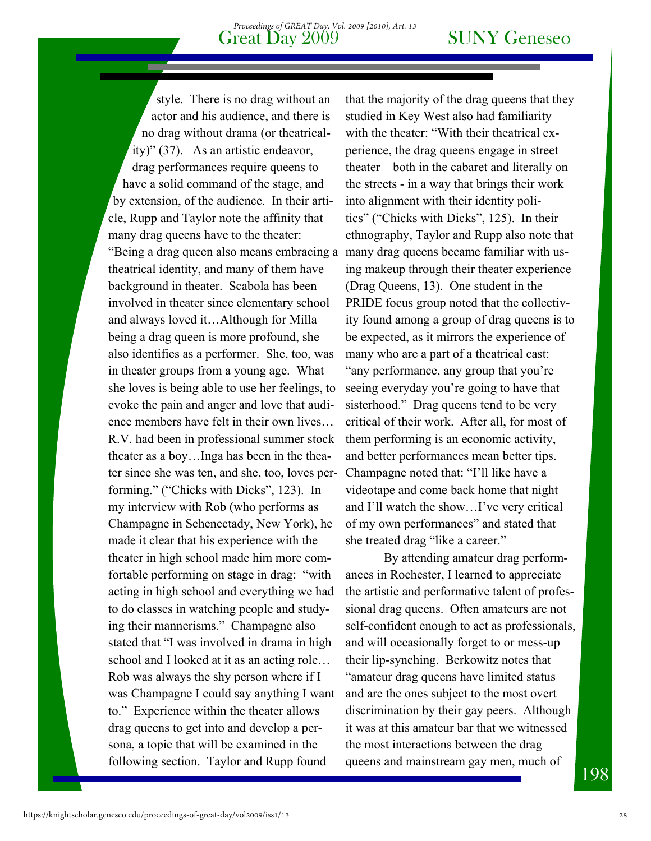style. There is no drag without an actor and his audience, and there is no drag without drama (or theatricality)" (37). As an artistic endeavor, drag performances require queens to have a solid command of the stage, and by extension, of the audience. In their article, Rupp and Taylor note the affinity that many drag queens have to the theater: "Being a drag queen also means embracing a theatrical identity, and many of them have background in theater. Scabola has been involved in theater since elementary school and always loved it…Although for Milla being a drag queen is more profound, she also identifies as a performer. She, too, was in theater groups from a young age. What she loves is being able to use her feelings, to evoke the pain and anger and love that audience members have felt in their own lives… R.V. had been in professional summer stock theater as a boy…Inga has been in the theater since she was ten, and she, too, loves performing." ("Chicks with Dicks", 123). In my interview with Rob (who performs as Champagne in Schenectady, New York), he made it clear that his experience with the theater in high school made him more comfortable performing on stage in drag: "with acting in high school and everything we had to do classes in watching people and studying their mannerisms." Champagne also stated that "I was involved in drama in high school and I looked at it as an acting role… Rob was always the shy person where if I was Champagne I could say anything I want to." Experience within the theater allows drag queens to get into and develop a persona, a topic that will be examined in the following section. Taylor and Rupp found

that the majority of the drag queens that they studied in Key West also had familiarity with the theater: "With their theatrical experience, the drag queens engage in street theater – both in the cabaret and literally on the streets - in a way that brings their work into alignment with their identity politics" ("Chicks with Dicks", 125). In their ethnography, Taylor and Rupp also note that many drag queens became familiar with using makeup through their theater experience (Drag Queens, 13). One student in the PRIDE focus group noted that the collectivity found among a group of drag queens is to be expected, as it mirrors the experience of many who are a part of a theatrical cast: "any performance, any group that you're seeing everyday you're going to have that sisterhood." Drag queens tend to be very critical of their work. After all, for most of them performing is an economic activity, and better performances mean better tips. Champagne noted that: "I'll like have a videotape and come back home that night and I'll watch the show…I've very critical of my own performances" and stated that she treated drag "like a career."

By attending amateur drag performances in Rochester, I learned to appreciate the artistic and performative talent of professional drag queens. Often amateurs are not self-confident enough to act as professionals, and will occasionally forget to or mess-up their lip-synching. Berkowitz notes that "amateur drag queens have limited status and are the ones subject to the most overt discrimination by their gay peers. Although it was at this amateur bar that we witnessed the most interactions between the drag queens and mainstream gay men, much of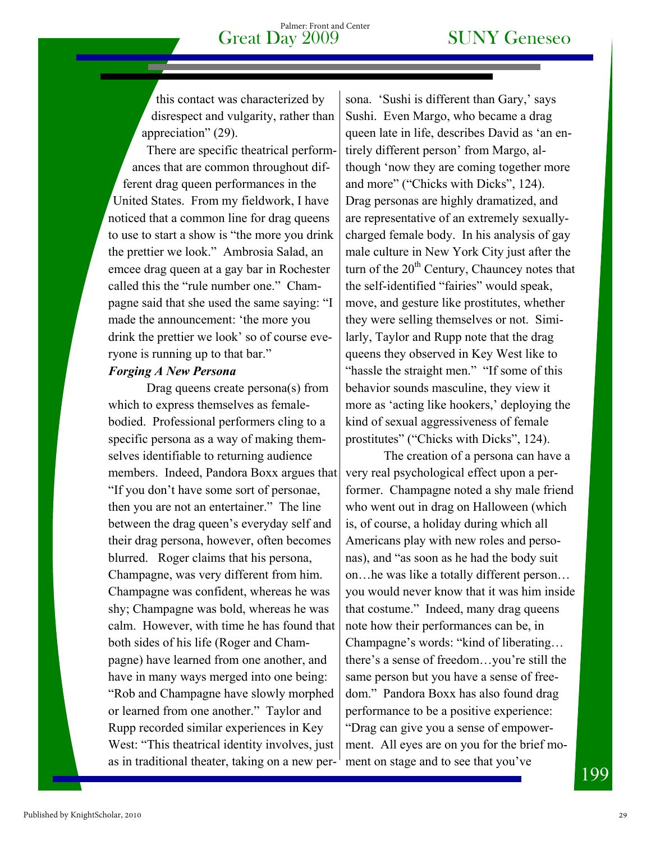this contact was characterized by disrespect and vulgarity, rather than appreciation" (29).

There are specific theatrical performances that are common throughout different drag queen performances in the United States. From my fieldwork, I have noticed that a common line for drag queens to use to start a show is "the more you drink the prettier we look." Ambrosia Salad, an emcee drag queen at a gay bar in Rochester called this the "rule number one." Champagne said that she used the same saying: "I made the announcement: 'the more you drink the prettier we look' so of course everyone is running up to that bar."

# *Forging A New Persona*

Drag queens create persona(s) from which to express themselves as femalebodied. Professional performers cling to a specific persona as a way of making themselves identifiable to returning audience members. Indeed, Pandora Boxx argues that "If you don't have some sort of personae, then you are not an entertainer." The line between the drag queen's everyday self and their drag persona, however, often becomes blurred. Roger claims that his persona, Champagne, was very different from him. Champagne was confident, whereas he was shy; Champagne was bold, whereas he was calm. However, with time he has found that both sides of his life (Roger and Champagne) have learned from one another, and have in many ways merged into one being: "Rob and Champagne have slowly morphed or learned from one another." Taylor and Rupp recorded similar experiences in Key West: "This theatrical identity involves, just as in traditional theater, taking on a new per-

sona. 'Sushi is different than Gary,' says Sushi. Even Margo, who became a drag queen late in life, describes David as 'an entirely different person' from Margo, although 'now they are coming together more and more" ("Chicks with Dicks", 124). Drag personas are highly dramatized, and are representative of an extremely sexuallycharged female body. In his analysis of gay male culture in New York City just after the turn of the  $20<sup>th</sup>$  Century, Chauncey notes that the self-identified "fairies" would speak, move, and gesture like prostitutes, whether they were selling themselves or not. Similarly, Taylor and Rupp note that the drag queens they observed in Key West like to "hassle the straight men." "If some of this behavior sounds masculine, they view it more as 'acting like hookers,' deploying the kind of sexual aggressiveness of female prostitutes" ("Chicks with Dicks", 124).

The creation of a persona can have a very real psychological effect upon a performer. Champagne noted a shy male friend who went out in drag on Halloween (which is, of course, a holiday during which all Americans play with new roles and personas), and "as soon as he had the body suit on…he was like a totally different person… you would never know that it was him inside that costume." Indeed, many drag queens note how their performances can be, in Champagne's words: "kind of liberating… there's a sense of freedom…you're still the same person but you have a sense of freedom." Pandora Boxx has also found drag performance to be a positive experience: "Drag can give you a sense of empowerment. All eyes are on you for the brief moment on stage and to see that you've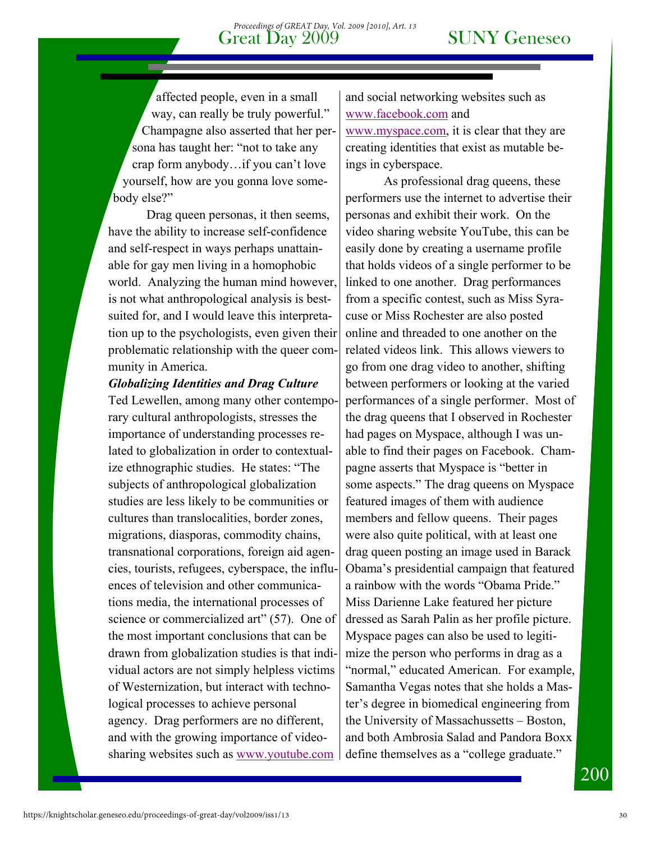affected people, even in a small way, can really be truly powerful." Champagne also asserted that her persona has taught her: "not to take any crap form anybody…if you can't love yourself, how are you gonna love somebody else?"

Drag queen personas, it then seems, have the ability to increase self-confidence and self-respect in ways perhaps unattainable for gay men living in a homophobic world. Analyzing the human mind however, is not what anthropological analysis is bestsuited for, and I would leave this interpretation up to the psychologists, even given their problematic relationship with the queer community in America.

*Globalizing Identities and Drag Culture* Ted Lewellen, among many other contemporary cultural anthropologists, stresses the importance of understanding processes related to globalization in order to contextualize ethnographic studies. He states: "The subjects of anthropological globalization studies are less likely to be communities or cultures than translocalities, border zones, migrations, diasporas, commodity chains, transnational corporations, foreign aid agencies, tourists, refugees, cyberspace, the influences of television and other communications media, the international processes of science or commercialized art" (57). One of the most important conclusions that can be drawn from globalization studies is that individual actors are not simply helpless victims of Westernization, but interact with technological processes to achieve personal agency. Drag performers are no different, and with the growing importance of videosharing websites such as www.youtube.com

and social networking websites such as www.facebook.com and www.myspace.com, it is clear that they are creating identities that exist as mutable beings in cyberspace.

As professional drag queens, these performers use the internet to advertise their personas and exhibit their work. On the video sharing website YouTube, this can be easily done by creating a username profile that holds videos of a single performer to be linked to one another. Drag performances from a specific contest, such as Miss Syracuse or Miss Rochester are also posted online and threaded to one another on the related videos link. This allows viewers to go from one drag video to another, shifting between performers or looking at the varied performances of a single performer. Most of the drag queens that I observed in Rochester had pages on Myspace, although I was unable to find their pages on Facebook. Champagne asserts that Myspace is "better in some aspects." The drag queens on Myspace featured images of them with audience members and fellow queens. Their pages were also quite political, with at least one drag queen posting an image used in Barack Obama's presidential campaign that featured a rainbow with the words "Obama Pride." Miss Darienne Lake featured her picture dressed as Sarah Palin as her profile picture. Myspace pages can also be used to legitimize the person who performs in drag as a "normal," educated American. For example, Samantha Vegas notes that she holds a Master's degree in biomedical engineering from the University of Massachussetts – Boston, and both Ambrosia Salad and Pandora Boxx define themselves as a "college graduate."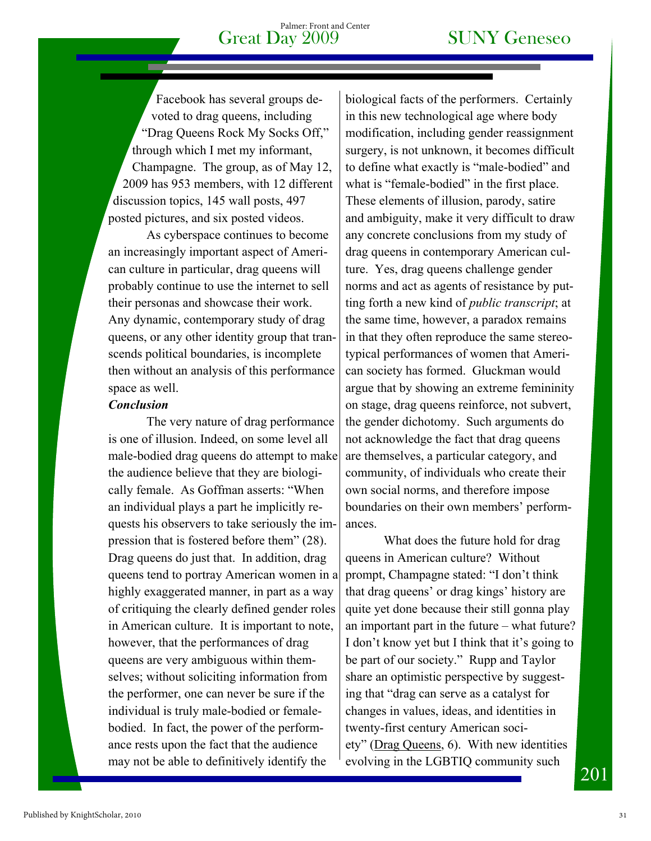Facebook has several groups devoted to drag queens, including "Drag Queens Rock My Socks Off," through which I met my informant, Champagne. The group, as of May 12, 2009 has 953 members, with 12 different discussion topics, 145 wall posts, 497 posted pictures, and six posted videos.

As cyberspace continues to become an increasingly important aspect of American culture in particular, drag queens will probably continue to use the internet to sell their personas and showcase their work. Any dynamic, contemporary study of drag queens, or any other identity group that transcends political boundaries, is incomplete then without an analysis of this performance space as well.

# *Conclusion*

 The very nature of drag performance is one of illusion. Indeed, on some level all male-bodied drag queens do attempt to make the audience believe that they are biologically female. As Goffman asserts: "When an individual plays a part he implicitly requests his observers to take seriously the impression that is fostered before them" (28). Drag queens do just that. In addition, drag queens tend to portray American women in a highly exaggerated manner, in part as a way of critiquing the clearly defined gender roles in American culture. It is important to note, however, that the performances of drag queens are very ambiguous within themselves; without soliciting information from the performer, one can never be sure if the individual is truly male-bodied or femalebodied. In fact, the power of the performance rests upon the fact that the audience may not be able to definitively identify the

biological facts of the performers. Certainly in this new technological age where body modification, including gender reassignment surgery, is not unknown, it becomes difficult to define what exactly is "male-bodied" and what is "female-bodied" in the first place. These elements of illusion, parody, satire and ambiguity, make it very difficult to draw any concrete conclusions from my study of drag queens in contemporary American culture. Yes, drag queens challenge gender norms and act as agents of resistance by putting forth a new kind of *public transcript*; at the same time, however, a paradox remains in that they often reproduce the same stereotypical performances of women that American society has formed. Gluckman would argue that by showing an extreme femininity on stage, drag queens reinforce, not subvert, the gender dichotomy. Such arguments do not acknowledge the fact that drag queens are themselves, a particular category, and community, of individuals who create their own social norms, and therefore impose boundaries on their own members' performances.

What does the future hold for drag queens in American culture? Without prompt, Champagne stated: "I don't think that drag queens' or drag kings' history are quite yet done because their still gonna play an important part in the future – what future? I don't know yet but I think that it's going to be part of our society." Rupp and Taylor share an optimistic perspective by suggesting that "drag can serve as a catalyst for changes in values, ideas, and identities in twenty-first century American society" (Drag Queens, 6). With new identities evolving in the LGBTIQ community such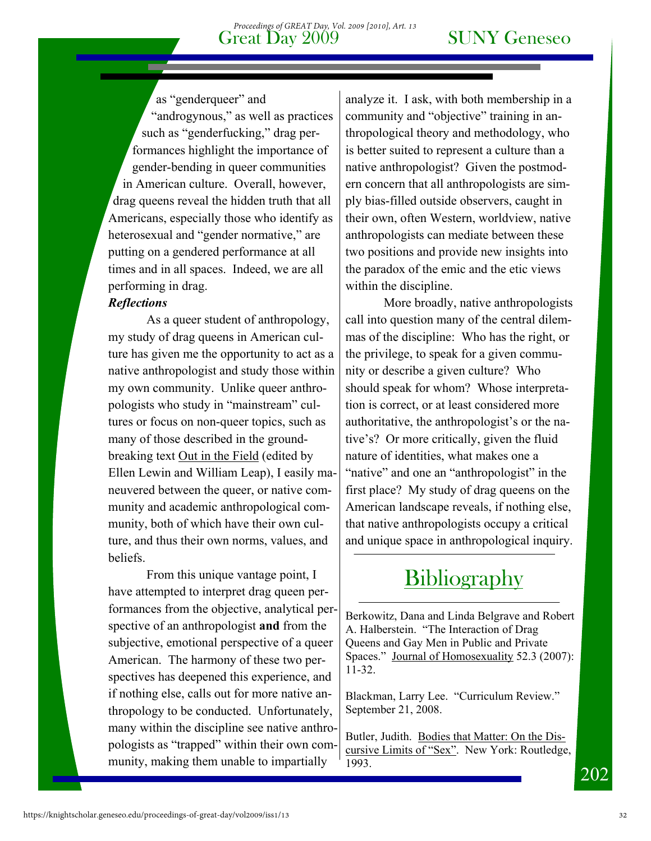as "genderqueer" and

"androgynous," as well as practices such as "genderfucking," drag performances highlight the importance of gender-bending in queer communities in American culture. Overall, however, drag queens reveal the hidden truth that all Americans, especially those who identify as heterosexual and "gender normative," are putting on a gendered performance at all times and in all spaces. Indeed, we are all performing in drag.

# *Reflections*

As a queer student of anthropology, my study of drag queens in American culture has given me the opportunity to act as a native anthropologist and study those within my own community. Unlike queer anthropologists who study in "mainstream" cultures or focus on non-queer topics, such as many of those described in the groundbreaking text Out in the Field (edited by Ellen Lewin and William Leap), I easily maneuvered between the queer, or native community and academic anthropological community, both of which have their own culture, and thus their own norms, values, and beliefs.

From this unique vantage point, I have attempted to interpret drag queen performances from the objective, analytical perspective of an anthropologist **and** from the subjective, emotional perspective of a queer American. The harmony of these two perspectives has deepened this experience, and if nothing else, calls out for more native anthropology to be conducted. Unfortunately, many within the discipline see native anthropologists as "trapped" within their own community, making them unable to impartially

analyze it. I ask, with both membership in a community and "objective" training in anthropological theory and methodology, who is better suited to represent a culture than a native anthropologist? Given the postmodern concern that all anthropologists are simply bias-filled outside observers, caught in their own, often Western, worldview, native anthropologists can mediate between these two positions and provide new insights into the paradox of the emic and the etic views within the discipline.

More broadly, native anthropologists call into question many of the central dilemmas of the discipline: Who has the right, or the privilege, to speak for a given community or describe a given culture? Who should speak for whom? Whose interpretation is correct, or at least considered more authoritative, the anthropologist's or the native's? Or more critically, given the fluid nature of identities, what makes one a "native" and one an "anthropologist" in the first place? My study of drag queens on the American landscape reveals, if nothing else, that native anthropologists occupy a critical and unique space in anthropological inquiry.

# **Bibliography**

Berkowitz, Dana and Linda Belgrave and Robert A. Halberstein. "The Interaction of Drag Queens and Gay Men in Public and Private Spaces." Journal of Homosexuality 52.3 (2007): 11-32.

Blackman, Larry Lee. "Curriculum Review." September 21, 2008.

Butler, Judith. Bodies that Matter: On the Discursive Limits of "Sex". New York: Routledge, 1993.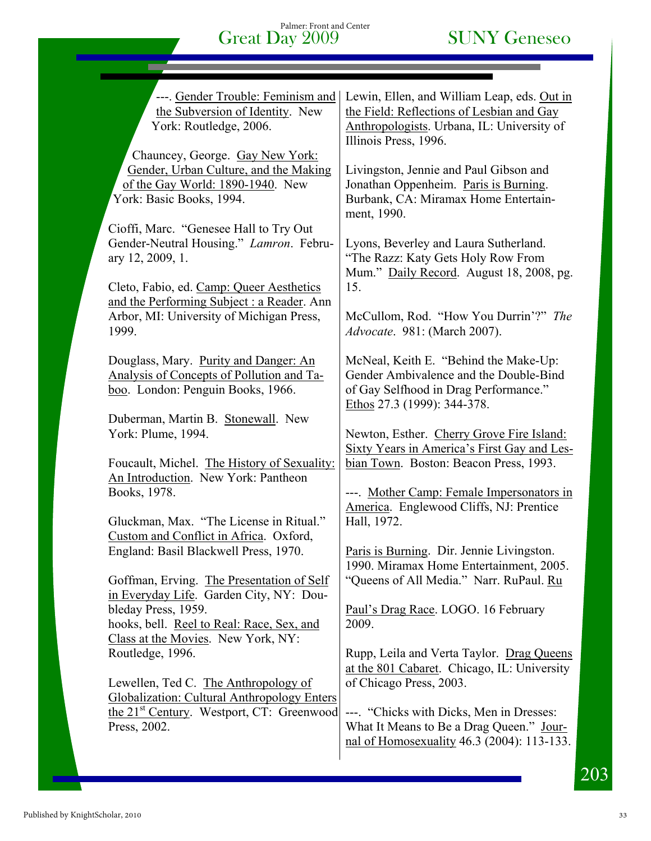ī

| ---. Gender Trouble: Feminism and<br>the Subversion of Identity. New<br>York: Routledge, 2006.                                                    | Lewin, Ellen, and William Leap, eds. Out in<br>the Field: Reflections of Lesbian and Gay<br>Anthropologists. Urbana, IL: University of<br>Illinois Press, 1996. |
|---------------------------------------------------------------------------------------------------------------------------------------------------|-----------------------------------------------------------------------------------------------------------------------------------------------------------------|
| Chauncey, George. Gay New York:                                                                                                                   | Livingston, Jennie and Paul Gibson and                                                                                                                          |
| Gender, Urban Culture, and the Making                                                                                                             | Jonathan Oppenheim. Paris is Burning.                                                                                                                           |
| of the Gay World: 1890-1940. New                                                                                                                  | Burbank, CA: Miramax Home Entertain-                                                                                                                            |
| York: Basic Books, 1994.                                                                                                                          | ment, 1990.                                                                                                                                                     |
| Cioffi, Marc. "Genesee Hall to Try Out                                                                                                            | Lyons, Beverley and Laura Sutherland.                                                                                                                           |
| Gender-Neutral Housing." Lamron. Febru-                                                                                                           | "The Razz: Katy Gets Holy Row From                                                                                                                              |
| ary 12, 2009, 1.                                                                                                                                  | Mum." Daily Record. August 18, 2008, pg.                                                                                                                        |
| Cleto, Fabio, ed. Camp: Queer Aesthetics                                                                                                          | 15.                                                                                                                                                             |
| and the Performing Subject : a Reader. Ann<br>Arbor, MI: University of Michigan Press,<br>1999.                                                   | McCullom, Rod. "How You Durrin'?" The<br>Advocate. 981: (March 2007).                                                                                           |
| Douglass, Mary. Purity and Danger: An<br>Analysis of Concepts of Pollution and Ta-<br>boo. London: Penguin Books, 1966.                           | McNeal, Keith E. "Behind the Make-Up:<br>Gender Ambivalence and the Double-Bind<br>of Gay Selfhood in Drag Performance."<br>Ethos 27.3 (1999): 344-378.         |
| Duberman, Martin B. Stonewall. New                                                                                                                | Newton, Esther. Cherry Grove Fire Island:                                                                                                                       |
| York: Plume, 1994.                                                                                                                                | Sixty Years in America's First Gay and Les-                                                                                                                     |
| Foucault, Michel. The History of Sexuality:                                                                                                       | bian Town. Boston: Beacon Press, 1993.                                                                                                                          |
| An Introduction. New York: Pantheon                                                                                                               | ---. Mother Camp: Female Impersonators in                                                                                                                       |
| Books, 1978.                                                                                                                                      | America. Englewood Cliffs, NJ: Prentice                                                                                                                         |
| Gluckman, Max. "The License in Ritual."                                                                                                           | Hall, 1972.                                                                                                                                                     |
| Custom and Conflict in Africa. Oxford,                                                                                                            | Paris is Burning. Dir. Jennie Livingston.                                                                                                                       |
| England: Basil Blackwell Press, 1970.                                                                                                             | 1990. Miramax Home Entertainment, 2005.                                                                                                                         |
| Goffman, Erving. The Presentation of Self                                                                                                         | "Queens of All Media." Narr. RuPaul. Ru                                                                                                                         |
| in Everyday Life. Garden City, NY: Dou-<br>bleday Press, 1959.<br>hooks, bell. Reel to Real: Race, Sex, and<br>Class at the Movies. New York, NY: | Paul's Drag Race. LOGO. 16 February<br>2009.                                                                                                                    |
| Routledge, 1996.<br>Lewellen, Ted C. The Anthropology of                                                                                          | Rupp, Leila and Verta Taylor. Drag Queens<br>at the 801 Cabaret. Chicago, IL: University<br>of Chicago Press, 2003.                                             |
| <b>Globalization: Cultural Anthropology Enters</b>                                                                                                | ---. "Chicks with Dicks, Men in Dresses:                                                                                                                        |
| the 21 <sup>st</sup> Century. Westport, CT: Greenwood                                                                                             | What It Means to Be a Drag Queen." Jour-                                                                                                                        |
| Press, 2002.                                                                                                                                      | nal of Homosexuality 46.3 (2004): 113-133.                                                                                                                      |